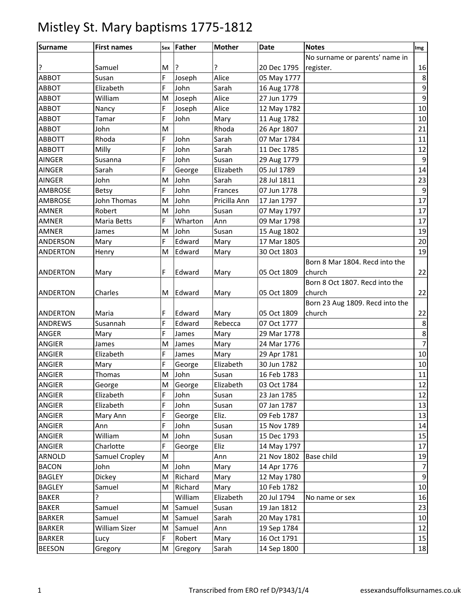| <b>Surname</b>  | <b>First names</b>   |   | Sex Father | <b>Mother</b> | <b>Date</b> | <b>Notes</b>                    | Img            |
|-----------------|----------------------|---|------------|---------------|-------------|---------------------------------|----------------|
|                 |                      |   |            |               |             | No surname or parents' name in  |                |
| ?               | Samuel               | М | ?          |               | 20 Dec 1795 | register.                       | 16             |
| <b>ABBOT</b>    | Susan                | F | Joseph     | Alice         | 05 May 1777 |                                 | 8              |
| <b>ABBOT</b>    | Elizabeth            | F | John       | Sarah         | 16 Aug 1778 |                                 | 9              |
| <b>ABBOT</b>    | William              | M | Joseph     | Alice         | 27 Jun 1779 |                                 | 9              |
| <b>ABBOT</b>    | Nancy                | F | Joseph     | Alice         | 12 May 1782 |                                 | 10             |
| <b>ABBOT</b>    | Tamar                | F | John       | Mary          | 11 Aug 1782 |                                 | 10             |
| <b>ABBOT</b>    | John                 | M |            | Rhoda         | 26 Apr 1807 |                                 | 21             |
| <b>ABBOTT</b>   | Rhoda                | F | John       | Sarah         | 07 Mar 1784 |                                 | 11             |
| <b>ABBOTT</b>   | Milly                | F | John       | Sarah         | 11 Dec 1785 |                                 | 12             |
| <b>AINGER</b>   | Susanna              | F | John       | Susan         | 29 Aug 1779 |                                 | $\overline{9}$ |
| <b>AINGER</b>   | Sarah                | F | George     | Elizabeth     | 05 Jul 1789 |                                 | 14             |
| <b>AINGER</b>   | John                 | M | John       | Sarah         | 28 Jul 1811 |                                 | 23             |
| AMBROSE         | <b>Betsy</b>         | F | John       | Frances       | 07 Jun 1778 |                                 | 9              |
| <b>AMBROSE</b>  | John Thomas          | M | John       | Pricilla Ann  | 17 Jan 1797 |                                 | 17             |
| <b>AMNER</b>    | Robert               | M | John       | Susan         | 07 May 1797 |                                 | 17             |
| <b>AMNER</b>    | Maria Betts          | F | Wharton    | Ann           | 09 Mar 1798 |                                 | 17             |
| <b>AMNER</b>    | James                | M | John       | Susan         | 15 Aug 1802 |                                 | 19             |
| ANDERSON        | Mary                 | F | Edward     | Mary          | 17 Mar 1805 |                                 | 20             |
| <b>ANDERTON</b> | Henry                | M | Edward     | Mary          | 30 Oct 1803 |                                 | 19             |
|                 |                      |   |            |               |             | Born 8 Mar 1804. Recd into the  |                |
| <b>ANDERTON</b> | Mary                 | F | Edward     | Mary          | 05 Oct 1809 | church                          | 22             |
|                 |                      |   |            |               |             | Born 8 Oct 1807. Recd into the  |                |
| <b>ANDERTON</b> | Charles              | M | Edward     | Mary          | 05 Oct 1809 | church                          | 22             |
|                 |                      |   |            |               |             | Born 23 Aug 1809. Recd into the |                |
| <b>ANDERTON</b> | Maria                | F | Edward     | Mary          | 05 Oct 1809 | church                          | 22             |
| <b>ANDREWS</b>  | Susannah             | F | Edward     | Rebecca       | 07 Oct 1777 |                                 | $\,8\,$        |
| ANGER           | Mary                 | F | James      | Mary          | 29 Mar 1778 |                                 | 8              |
| <b>ANGIER</b>   | James                | M | James      | Mary          | 24 Mar 1776 |                                 | $\overline{7}$ |
| <b>ANGIER</b>   | Elizabeth            | F | James      | Mary          | 29 Apr 1781 |                                 | 10             |
| <b>ANGIER</b>   | Mary                 | F | George     | Elizabeth     | 30 Jun 1782 |                                 | 10             |
| <b>ANGIER</b>   | Thomas               | M | John       | Susan         | 16 Feb 1783 |                                 | $11\,$         |
| <b>ANGIER</b>   | George               | M | George     | Elizabeth     | 03 Oct 1784 |                                 | 12             |
| <b>ANGIER</b>   | Elizabeth            | F | John       | Susan         | 23 Jan 1785 |                                 | 12             |
| ANGIER          | Elizabeth            | F | John       | Susan         | 07 Jan 1787 |                                 | 13             |
| ANGIER          | Mary Ann             | F | George     | Eliz.         | 09 Feb 1787 |                                 | 13             |
| ANGIER          | Ann                  | F | John       | Susan         | 15 Nov 1789 |                                 | 14             |
| <b>ANGIER</b>   | William              | M | John       | Susan         | 15 Dec 1793 |                                 | 15             |
| ANGIER          | Charlotte            | F | George     | Eliz          | 14 May 1797 |                                 | 17             |
| <b>ARNOLD</b>   | Samuel Cropley       | M |            | Ann           | 21 Nov 1802 | Base child                      | 19             |
| <b>BACON</b>    | John                 | M | John       | Mary          | 14 Apr 1776 |                                 | $\overline{7}$ |
| <b>BAGLEY</b>   | Dickey               | M | Richard    | Mary          | 12 May 1780 |                                 | $9$            |
| <b>BAGLEY</b>   | Samuel               | M | Richard    | Mary          | 10 Feb 1782 |                                 | 10             |
| <b>BAKER</b>    | ŗ                    |   | William    | Elizabeth     | 20 Jul 1794 | No name or sex                  | 16             |
| <b>BAKER</b>    | Samuel               | M | Samuel     | Susan         | 19 Jan 1812 |                                 | 23             |
| <b>BARKER</b>   | Samuel               | M | Samuel     | Sarah         | 20 May 1781 |                                 | 10             |
| <b>BARKER</b>   | <b>William Sizer</b> | M | Samuel     | Ann           | 19 Sep 1784 |                                 | 12             |
| <b>BARKER</b>   | Lucy                 | F | Robert     | Mary          | 16 Oct 1791 |                                 | 15             |
| <b>BEESON</b>   | Gregory              | M | Gregory    | Sarah         | 14 Sep 1800 |                                 | 18             |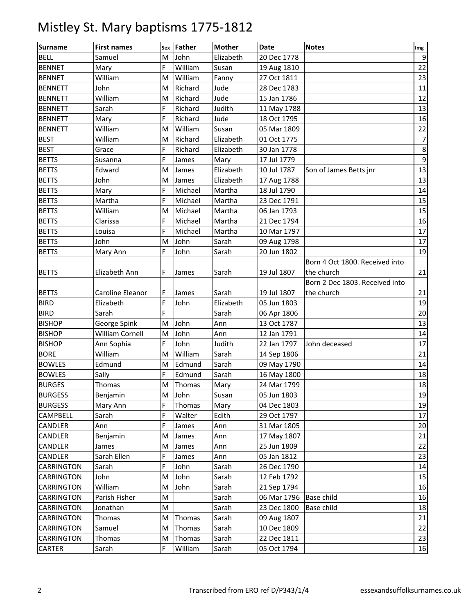| <b>Surname</b>    | <b>First names</b>     | Sex | Father  | <b>Mother</b> | <b>Date</b> | <b>Notes</b>                   | Img            |
|-------------------|------------------------|-----|---------|---------------|-------------|--------------------------------|----------------|
| <b>BELL</b>       | Samuel                 | M   | John    | Elizabeth     | 20 Dec 1778 |                                | $\overline{9}$ |
| <b>BENNET</b>     | Mary                   | F   | William | Susan         | 19 Aug 1810 |                                | 22             |
| <b>BENNET</b>     | William                | M   | William | Fanny         | 27 Oct 1811 |                                | 23             |
| <b>BENNETT</b>    | John                   | M   | Richard | Jude          | 28 Dec 1783 |                                | 11             |
| <b>BENNETT</b>    | William                | M   | Richard | Jude          | 15 Jan 1786 |                                | 12             |
| <b>BENNETT</b>    | Sarah                  | F   | Richard | Judith        | 11 May 1788 |                                | 13             |
| <b>BENNETT</b>    | Mary                   | F   | Richard | Jude          | 18 Oct 1795 |                                | 16             |
| <b>BENNETT</b>    | William                | M   | William | Susan         | 05 Mar 1809 |                                | 22             |
| <b>BEST</b>       | William                | M   | Richard | Elizabeth     | 01 Oct 1775 |                                | 7              |
| <b>BEST</b>       | Grace                  | F   | Richard | Elizabeth     | 30 Jan 1778 |                                | $\,8\,$        |
| <b>BETTS</b>      | Susanna                | F   | James   | Mary          | 17 Jul 1779 |                                | $9\,$          |
| <b>BETTS</b>      | Edward                 | M   | James   | Elizabeth     | 10 Jul 1787 | Son of James Betts jnr         | 13             |
| <b>BETTS</b>      | John                   | M   | James   | Elizabeth     | 17 Aug 1788 |                                | 13             |
| <b>BETTS</b>      | Mary                   | F   | Michael | Martha        | 18 Jul 1790 |                                | 14             |
| <b>BETTS</b>      | Martha                 | F   | Michael | Martha        | 23 Dec 1791 |                                | 15             |
| <b>BETTS</b>      | William                | M   | Michael | Martha        | 06 Jan 1793 |                                | 15             |
| <b>BETTS</b>      | Clarissa               | F   | Michael | Martha        | 21 Dec 1794 |                                | 16             |
| <b>BETTS</b>      | Louisa                 | F   | Michael | Martha        | 10 Mar 1797 |                                | 17             |
| <b>BETTS</b>      | John                   | M   | John    | Sarah         | 09 Aug 1798 |                                | 17             |
| <b>BETTS</b>      | Mary Ann               | F   | John    | Sarah         | 20 Jun 1802 |                                | 19             |
|                   |                        |     |         |               |             | Born 4 Oct 1800. Received into |                |
| <b>BETTS</b>      | Elizabeth Ann          | F   | James   | Sarah         | 19 Jul 1807 | the church                     | 21             |
|                   |                        |     |         |               |             | Born 2 Dec 1803. Received into |                |
| <b>BETTS</b>      | Caroline Eleanor       | F   | James   | Sarah         | 19 Jul 1807 | the church                     | 21             |
| <b>BIRD</b>       | Elizabeth              | F   | John    | Elizabeth     | 05 Jun 1803 |                                | 19             |
| <b>BIRD</b>       | Sarah                  | F   |         | Sarah         | 06 Apr 1806 |                                | 20             |
| <b>BISHOP</b>     | George Spink           | M   | John    | Ann           | 13 Oct 1787 |                                | 13             |
| <b>BISHOP</b>     | <b>William Cornell</b> | M   | John    | Ann           | 12 Jan 1791 |                                | 14             |
| <b>BISHOP</b>     | Ann Sophia             | F   | John    | Judith        | 22 Jan 1797 | John deceased                  | 17             |
| <b>BORE</b>       | William                | M   | William | Sarah         | 14 Sep 1806 |                                | 21             |
| <b>BOWLES</b>     | Edmund                 | M   | Edmund  | Sarah         | 09 May 1790 |                                | 14             |
| <b>BOWLES</b>     | Sally                  | F   | Edmund  | Sarah         | 16 May 1800 |                                | 18             |
| <b>BURGES</b>     | Thomas                 | M   | Thomas  | Mary          | 24 Mar 1799 |                                | 18             |
| <b>BURGESS</b>    | Benjamin               | M   | John    | Susan         | 05 Jun 1803 |                                | 19             |
| <b>BURGESS</b>    | Mary Ann               | F   | Thomas  | Mary          | 04 Dec 1803 |                                | 19             |
| CAMPBELL          | Sarah                  | F   | Walter  | Edith         | 29 Oct 1797 |                                | 17             |
| CANDLER           | Ann                    | F   | James   | Ann           | 31 Mar 1805 |                                | 20             |
| CANDLER           | Benjamin               | M   | James   | Ann           | 17 May 1807 |                                | 21             |
| CANDLER           | James                  | M   | James   | Ann           | 25 Jun 1809 |                                | 22             |
| CANDLER           | Sarah Ellen            | F   | James   | Ann           | 05 Jan 1812 |                                | 23             |
| CARRINGTON        | Sarah                  | F   | John    | Sarah         | 26 Dec 1790 |                                | 14             |
| <b>CARRINGTON</b> | John                   | M   | John    | Sarah         | 12 Feb 1792 |                                | 15             |
| CARRINGTON        | William                | M   | John    | Sarah         | 21 Sep 1794 |                                | 16             |
| CARRINGTON        | Parish Fisher          | M   |         | Sarah         | 06 Mar 1796 | Base child                     | 16             |
| CARRINGTON        | Jonathan               | M   |         | Sarah         | 23 Dec 1800 | Base child                     | 18             |
| CARRINGTON        | Thomas                 | M   | Thomas  | Sarah         | 09 Aug 1807 |                                | 21             |
| CARRINGTON        | Samuel                 | M   | Thomas  | Sarah         | 10 Dec 1809 |                                | 22             |
| CARRINGTON        | Thomas                 | M   | Thomas  | Sarah         | 22 Dec 1811 |                                | 23             |
| CARTER            | Sarah                  | F   | William | Sarah         | 05 Oct 1794 |                                | 16             |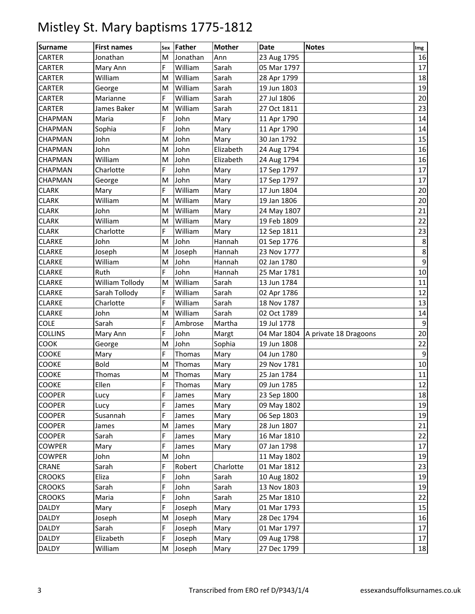| <b>Surname</b> | <b>First names</b> |   | sex Father | <b>Mother</b> | <b>Date</b> | <b>Notes</b>          | Img              |
|----------------|--------------------|---|------------|---------------|-------------|-----------------------|------------------|
| <b>CARTER</b>  | Jonathan           | M | Jonathan   | Ann           | 23 Aug 1795 |                       | 16               |
| CARTER         | Mary Ann           | F | William    | Sarah         | 05 Mar 1797 |                       | 17               |
| CARTER         | William            | M | William    | Sarah         | 28 Apr 1799 |                       | 18               |
| CARTER         | George             | M | William    | Sarah         | 19 Jun 1803 |                       | 19               |
| <b>CARTER</b>  | Marianne           | F | William    | Sarah         | 27 Jul 1806 |                       | 20               |
| <b>CARTER</b>  | James Baker        | M | William    | Sarah         | 27 Oct 1811 |                       | 23               |
| CHAPMAN        | Maria              | F | John       | Mary          | 11 Apr 1790 |                       | 14               |
| CHAPMAN        | Sophia             | F | John       | Mary          | 11 Apr 1790 |                       | 14               |
| CHAPMAN        | John               | M | John       | Mary          | 30 Jan 1792 |                       | 15               |
| CHAPMAN        | John               | M | John       | Elizabeth     | 24 Aug 1794 |                       | 16               |
| CHAPMAN        | William            | M | John       | Elizabeth     | 24 Aug 1794 |                       | 16               |
| CHAPMAN        | Charlotte          | F | John       | Mary          | 17 Sep 1797 |                       | 17               |
| CHAPMAN        | George             | M | John       | Mary          | 17 Sep 1797 |                       | 17               |
| <b>CLARK</b>   | Mary               | F | William    | Mary          | 17 Jun 1804 |                       | 20               |
| <b>CLARK</b>   | William            | M | William    | Mary          | 19 Jan 1806 |                       | 20               |
| <b>CLARK</b>   | John               | M | William    | Mary          | 24 May 1807 |                       | 21               |
| <b>CLARK</b>   | William            | M | William    | Mary          | 19 Feb 1809 |                       | 22               |
| <b>CLARK</b>   | Charlotte          | F | William    | Mary          | 12 Sep 1811 |                       | 23               |
| <b>CLARKE</b>  | John               | M | John       | Hannah        | 01 Sep 1776 |                       | 8                |
| <b>CLARKE</b>  | Joseph             | M | Joseph     | Hannah        | 23 Nov 1777 |                       | 8                |
| <b>CLARKE</b>  | William            | M | John       | Hannah        | 02 Jan 1780 |                       | $\boldsymbol{9}$ |
| <b>CLARKE</b>  | Ruth               | F | John       | Hannah        | 25 Mar 1781 |                       | 10               |
| <b>CLARKE</b>  | William Tollody    | M | William    | Sarah         | 13 Jun 1784 |                       | $11\,$           |
| <b>CLARKE</b>  | Sarah Tollody      | F | William    | Sarah         | 02 Apr 1786 |                       | 12               |
| <b>CLARKE</b>  | Charlotte          | F | William    | Sarah         | 18 Nov 1787 |                       | 13               |
| <b>CLARKE</b>  | John               | M | William    | Sarah         | 02 Oct 1789 |                       | 14               |
| <b>COLE</b>    | Sarah              | F | Ambrose    | Martha        | 19 Jul 1778 |                       | 9                |
| COLLINS        | Mary Ann           | F | John       | Margt         | 04 Mar 1804 | A private 18 Dragoons | 20               |
| COOK           | George             | M | John       | Sophia        | 19 Jun 1808 |                       | 22               |
| COOKE          | Mary               | F | Thomas     | Mary          | 04 Jun 1780 |                       | 9                |
| COOKE          | <b>Bold</b>        | M | Thomas     | Mary          | 29 Nov 1781 |                       | 10               |
| COOKE          | Thomas             | M | Thomas     | Mary          | 25 Jan 1784 |                       | $11\,$           |
| COOKE          | Ellen              | F | Thomas     | Mary          | 09 Jun 1785 |                       | 12               |
| <b>COOPER</b>  | Lucy               | F | James      | Mary          | 23 Sep 1800 |                       | 18               |
| <b>COOPER</b>  | Lucy               | F | James      | Mary          | 09 May 1802 |                       | 19               |
| <b>COOPER</b>  | Susannah           | F | James      | Mary          | 06 Sep 1803 |                       | 19               |
| <b>COOPER</b>  | James              | M | James      | Mary          | 28 Jun 1807 |                       | 21               |
| <b>COOPER</b>  | Sarah              | F | James      | Mary          | 16 Mar 1810 |                       | 22               |
| <b>COWPER</b>  | Mary               | F | James      | Mary          | 07 Jan 1798 |                       | 17               |
| <b>COWPER</b>  | John               | M | John       |               | 11 May 1802 |                       | 19               |
| CRANE          | Sarah              | F | Robert     | Charlotte     | 01 Mar 1812 |                       | 23               |
| <b>CROOKS</b>  | Eliza              | F | John       | Sarah         | 10 Aug 1802 |                       | 19               |
| <b>CROOKS</b>  | Sarah              | F | John       | Sarah         | 13 Nov 1803 |                       | 19               |
| <b>CROOKS</b>  | Maria              | F | John       | Sarah         | 25 Mar 1810 |                       | 22               |
| <b>DALDY</b>   | Mary               | F | Joseph     | Mary          | 01 Mar 1793 |                       | 15               |
| <b>DALDY</b>   | Joseph             | M | Joseph     | Mary          | 28 Dec 1794 |                       | 16               |
| DALDY          | Sarah              | F | Joseph     | Mary          | 01 Mar 1797 |                       | 17               |
| <b>DALDY</b>   | Elizabeth          | F | Joseph     | Mary          | 09 Aug 1798 |                       | $17\,$           |
| <b>DALDY</b>   | William            | M | Joseph     | Mary          | 27 Dec 1799 |                       | 18               |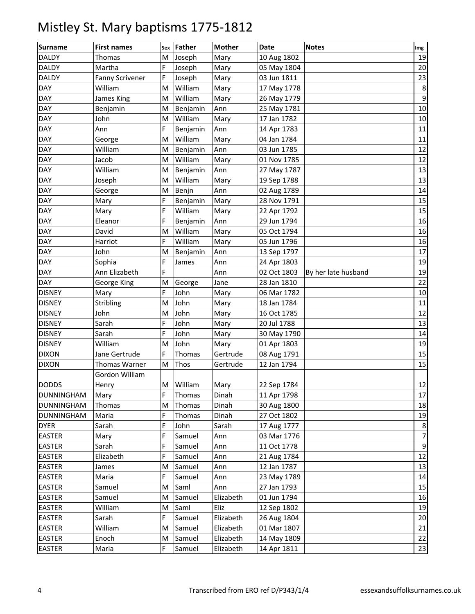| <b>Surname</b>    | <b>First names</b>     |   | Sex Father  | <b>Mother</b> | Date        | <b>Notes</b>        | Img             |
|-------------------|------------------------|---|-------------|---------------|-------------|---------------------|-----------------|
| <b>DALDY</b>      | Thomas                 | M | Joseph      | Mary          | 10 Aug 1802 |                     | 19              |
| <b>DALDY</b>      | Martha                 | F | Joseph      | Mary          | 05 May 1804 |                     | 20              |
| <b>DALDY</b>      | <b>Fanny Scrivener</b> | F | Joseph      | Mary          | 03 Jun 1811 |                     | 23              |
| DAY               | William                | M | William     | Mary          | 17 May 1778 |                     | 8               |
| <b>DAY</b>        | James King             | M | William     | Mary          | 26 May 1779 |                     | 9               |
| <b>DAY</b>        | Benjamin               | M | Benjamin    | Ann           | 25 May 1781 |                     | 10              |
| <b>DAY</b>        | John                   | M | William     | Mary          | 17 Jan 1782 |                     | 10              |
| <b>DAY</b>        | Ann                    | F | Benjamin    | Ann           | 14 Apr 1783 |                     | 11              |
| DAY               | George                 | M | William     | Mary          | 04 Jan 1784 |                     | 11              |
| <b>DAY</b>        | William                | M | Benjamin    | Ann           | 03 Jun 1785 |                     | 12              |
| <b>DAY</b>        | Jacob                  | M | William     | Mary          | 01 Nov 1785 |                     | 12              |
| <b>DAY</b>        | William                | M | Benjamin    | Ann           | 27 May 1787 |                     | 13              |
| <b>DAY</b>        | Joseph                 | M | William     | Mary          | 19 Sep 1788 |                     | 13              |
| DAY               | George                 | M | Benjn       | Ann           | 02 Aug 1789 |                     | 14              |
| <b>DAY</b>        | Mary                   | F | Benjamin    | Mary          | 28 Nov 1791 |                     | 15              |
| <b>DAY</b>        | Mary                   | F | William     | Mary          | 22 Apr 1792 |                     | 15              |
| <b>DAY</b>        | Eleanor                | F | Benjamin    | Ann           | 29 Jun 1794 |                     | 16              |
| <b>DAY</b>        | David                  | M | William     | Mary          | 05 Oct 1794 |                     | 16              |
| <b>DAY</b>        | Harriot                | F | William     | Mary          | 05 Jun 1796 |                     | 16              |
| <b>DAY</b>        | John                   | M | Benjamin    | Ann           | 13 Sep 1797 |                     | 17              |
| <b>DAY</b>        | Sophia                 | F | James       | Ann           | 24 Apr 1803 |                     | 19              |
| <b>DAY</b>        | Ann Elizabeth          | F |             | Ann           | 02 Oct 1803 | By her late husband | 19              |
| <b>DAY</b>        | George King            | M | George      | Jane          | 28 Jan 1810 |                     | $\overline{22}$ |
| <b>DISNEY</b>     | Mary                   | F | John        | Mary          | 06 Mar 1782 |                     | 10              |
| <b>DISNEY</b>     | Stribling              | M | John        | Mary          | 18 Jan 1784 |                     | 11              |
| <b>DISNEY</b>     | John                   | M | John        | Mary          | 16 Oct 1785 |                     | 12              |
| <b>DISNEY</b>     | Sarah                  | F | John        | Mary          | 20 Jul 1788 |                     | 13              |
| <b>DISNEY</b>     | Sarah                  | F | John        | Mary          | 30 May 1790 |                     | 14              |
| <b>DISNEY</b>     | William                | M | John        | Mary          | 01 Apr 1803 |                     | 19              |
| <b>DIXON</b>      | Jane Gertrude          | F | Thomas      | Gertrude      | 08 Aug 1791 |                     | 15              |
| <b>DIXON</b>      | Thomas Warner          | M | <b>Thos</b> | Gertrude      | 12 Jan 1794 |                     | 15              |
|                   | Gordon William         |   |             |               |             |                     |                 |
| <b>DODDS</b>      | Henry                  |   | M William   | Mary          | 22 Sep 1784 |                     | 12              |
| <b>DUNNINGHAM</b> | Mary                   | F | Thomas      | Dinah         | 11 Apr 1798 |                     | 17              |
| <b>DUNNINGHAM</b> | Thomas                 | M | Thomas      | Dinah         | 30 Aug 1800 |                     | 18              |
| <b>DUNNINGHAM</b> | Maria                  | F | Thomas      | Dinah         | 27 Oct 1802 |                     | 19              |
| <b>DYER</b>       | Sarah                  | F | John        | Sarah         | 17 Aug 1777 |                     | 8               |
| <b>EASTER</b>     | Mary                   | F | Samuel      | Ann           | 03 Mar 1776 |                     | $\overline{7}$  |
| <b>EASTER</b>     | Sarah                  | F | Samuel      | Ann           | 11 Oct 1778 |                     | 9               |
| <b>EASTER</b>     | Elizabeth              | F | Samuel      | Ann           | 21 Aug 1784 |                     | 12              |
| <b>EASTER</b>     | James                  | Μ | Samuel      | Ann           | 12 Jan 1787 |                     | 13              |
| <b>EASTER</b>     | Maria                  | F | Samuel      | Ann           | 23 May 1789 |                     | 14              |
| <b>EASTER</b>     | Samuel                 | M | Saml        | Ann           | 27 Jan 1793 |                     | 15              |
| <b>EASTER</b>     | Samuel                 | M | Samuel      | Elizabeth     | 01 Jun 1794 |                     | 16              |
| <b>EASTER</b>     | William                | M | Saml        | Eliz          | 12 Sep 1802 |                     | 19              |
| <b>EASTER</b>     | Sarah                  | F | Samuel      | Elizabeth     | 26 Aug 1804 |                     | 20              |
| <b>EASTER</b>     | William                | M | Samuel      | Elizabeth     | 01 Mar 1807 |                     | 21              |
| <b>EASTER</b>     | Enoch                  | M | Samuel      | Elizabeth     | 14 May 1809 |                     | 22              |
| <b>EASTER</b>     | Maria                  | F | Samuel      | Elizabeth     | 14 Apr 1811 |                     | 23              |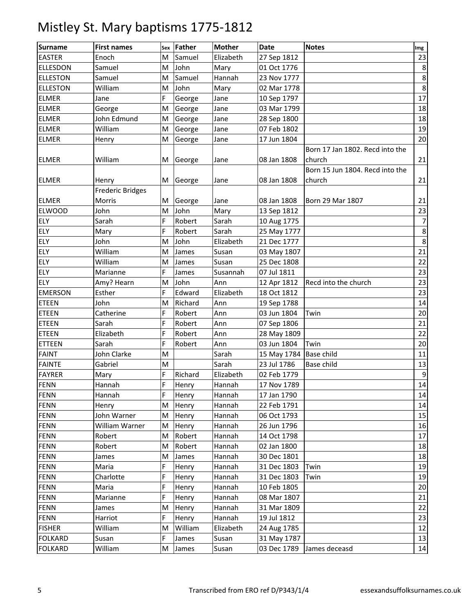| <b>Surname</b>  | <b>First names</b>      | Sex | Father  | <b>Mother</b> | <b>Date</b> | <b>Notes</b>                    | Img   |
|-----------------|-------------------------|-----|---------|---------------|-------------|---------------------------------|-------|
| <b>EASTER</b>   | Enoch                   | M   | Samuel  | Elizabeth     | 27 Sep 1812 |                                 | 23    |
| <b>ELLESDON</b> | Samuel                  | M   | John    | Mary          | 01 Oct 1776 |                                 | 8     |
| <b>ELLESTON</b> | Samuel                  | M   | Samuel  | Hannah        | 23 Nov 1777 |                                 | 8     |
| <b>ELLESTON</b> | William                 | M   | John    | Mary          | 02 Mar 1778 |                                 | 8     |
| <b>ELMER</b>    | Jane                    | F   | George  | Jane          | 10 Sep 1797 |                                 | 17    |
| <b>ELMER</b>    | George                  | M   | George  | Jane          | 03 Mar 1799 |                                 | 18    |
| <b>ELMER</b>    | John Edmund             | M   | George  | Jane          | 28 Sep 1800 |                                 | 18    |
| <b>ELMER</b>    | William                 | M   | George  | Jane          | 07 Feb 1802 |                                 | 19    |
| <b>ELMER</b>    | Henry                   | M   | George  | Jane          | 17 Jun 1804 |                                 | 20    |
|                 |                         |     |         |               |             | Born 17 Jan 1802. Recd into the |       |
| <b>ELMER</b>    | William                 | M   | George  | Jane          | 08 Jan 1808 | church                          | 21    |
|                 |                         |     |         |               |             | Born 15 Jun 1804. Recd into the |       |
| <b>ELMER</b>    | Henry                   | M   | George  | Jane          | 08 Jan 1808 | church                          | 21    |
|                 | <b>Frederic Bridges</b> |     |         |               |             |                                 |       |
| <b>ELMER</b>    | Morris                  | M   | George  | Jane          | 08 Jan 1808 | Born 29 Mar 1807                | 21    |
| <b>ELWOOD</b>   | John                    | M   | John    | Mary          | 13 Sep 1812 |                                 | 23    |
| ELY             | Sarah                   | F   | Robert  | Sarah         | 10 Aug 1775 |                                 | 7     |
| <b>ELY</b>      | Mary                    | F   | Robert  | Sarah         | 25 May 1777 |                                 | 8     |
| ELY             | John                    | M   | John    | Elizabeth     | 21 Dec 1777 |                                 | 8     |
| ELY             | William                 | M   | James   | Susan         | 03 May 1807 |                                 | 21    |
| <b>ELY</b>      | William                 | M   | James   | Susan         | 25 Dec 1808 |                                 | 22    |
| ELY             | Marianne                | F   | James   | Susannah      | 07 Jul 1811 |                                 | 23    |
| ELY             | Amy? Hearn              | M   | John    | Ann           | 12 Apr 1812 | Recd into the church            | 23    |
| <b>EMERSON</b>  | Esther                  | F   | Edward  | Elizabeth     | 18 Oct 1812 |                                 | 23    |
| <b>ETEEN</b>    | John                    | M   | Richard | Ann           | 19 Sep 1788 |                                 | 14    |
| <b>ETEEN</b>    | Catherine               | F   | Robert  | Ann           | 03 Jun 1804 | Twin                            | 20    |
| <b>ETEEN</b>    | Sarah                   | F   | Robert  | Ann           | 07 Sep 1806 |                                 | 21    |
| <b>ETEEN</b>    | Elizabeth               | F   | Robert  | Ann           | 28 May 1809 |                                 | 22    |
| <b>ETTEEN</b>   | Sarah                   | F   | Robert  | Ann           | 03 Jun 1804 | Twin                            | 20    |
| <b>FAINT</b>    | John Clarke             | M   |         | Sarah         | 15 May 1784 | Base child                      | 11    |
| <b>FAINTE</b>   | Gabriel                 | M   |         | Sarah         | 23 Jul 1786 | Base child                      | 13    |
| <b>FAYRER</b>   | Mary                    | F   | Richard | Elizabeth     | 02 Feb 1779 |                                 | $9\,$ |
| <b>FENN</b>     | Hannah                  | F   | Henry   | Hannah        | 17 Nov 1789 |                                 | 14    |
| <b>FENN</b>     | Hannah                  | F   | Henry   | Hannah        | 17 Jan 1790 |                                 | 14    |
| <b>FENN</b>     | Henry                   | M   | Henry   | Hannah        | 22 Feb 1791 |                                 | 14    |
| <b>FENN</b>     | John Warner             | M   | Henry   | Hannah        | 06 Oct 1793 |                                 | 15    |
| <b>FENN</b>     | William Warner          | M   | Henry   | Hannah        | 26 Jun 1796 |                                 | 16    |
| <b>FENN</b>     | Robert                  | M   | Robert  | Hannah        | 14 Oct 1798 |                                 | 17    |
| <b>FENN</b>     | Robert                  | M   | Robert  | Hannah        | 02 Jan 1800 |                                 | 18    |
| <b>FENN</b>     | James                   | M   | James   | Hannah        | 30 Dec 1801 |                                 | 18    |
| <b>FENN</b>     | Maria                   | F   | Henry   | Hannah        | 31 Dec 1803 | Twin                            | 19    |
| <b>FENN</b>     | Charlotte               | F   | Henry   | Hannah        | 31 Dec 1803 | Twin                            | 19    |
| <b>FENN</b>     | Maria                   | F   | Henry   | Hannah        | 10 Feb 1805 |                                 | 20    |
| <b>FENN</b>     | Marianne                | F   | Henry   | Hannah        | 08 Mar 1807 |                                 | 21    |
| <b>FENN</b>     | James                   | M   | Henry   | Hannah        | 31 Mar 1809 |                                 | 22    |
| <b>FENN</b>     | Harriot                 | F   | Henry   | Hannah        | 19 Jul 1812 |                                 | 23    |
| <b>FISHER</b>   | William                 | M   | William | Elizabeth     | 24 Aug 1785 |                                 | 12    |
| <b>FOLKARD</b>  | Susan                   | F   | James   | Susan         | 31 May 1787 |                                 | 13    |
| <b>FOLKARD</b>  | William                 | M   | James   | Susan         | 03 Dec 1789 | James deceasd                   | 14    |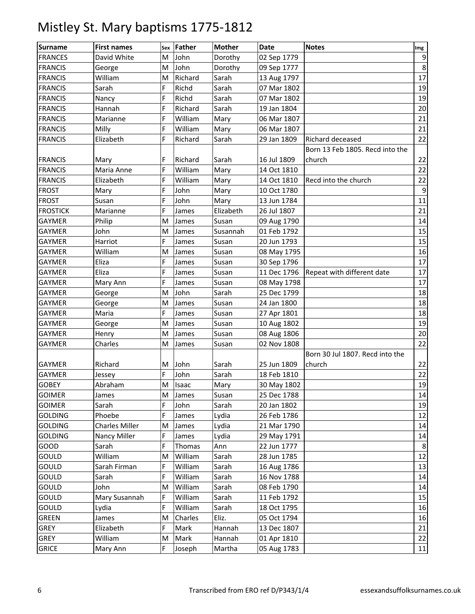| <b>Surname</b>  | <b>First names</b> | Sex | Father  | <b>Mother</b> | Date        | <b>Notes</b>                    | Img             |
|-----------------|--------------------|-----|---------|---------------|-------------|---------------------------------|-----------------|
| <b>FRANCES</b>  | David White        | M   | John    | Dorothy       | 02 Sep 1779 |                                 | $9\,$           |
| <b>FRANCIS</b>  | George             | M   | John    | Dorothy       | 09 Sep 1777 |                                 | 8               |
| <b>FRANCIS</b>  | William            | M   | Richard | Sarah         | 13 Aug 1797 |                                 | $\overline{17}$ |
| <b>FRANCIS</b>  | Sarah              | F   | Richd   | Sarah         | 07 Mar 1802 |                                 | 19              |
| <b>FRANCIS</b>  | Nancy              | F   | Richd   | Sarah         | 07 Mar 1802 |                                 | 19              |
| <b>FRANCIS</b>  | Hannah             | F   | Richard | Sarah         | 19 Jan 1804 |                                 | 20              |
| <b>FRANCIS</b>  | Marianne           | F   | William | Mary          | 06 Mar 1807 |                                 | 21              |
| <b>FRANCIS</b>  | Milly              | F   | William | Mary          | 06 Mar 1807 |                                 | 21              |
| <b>FRANCIS</b>  | Elizabeth          | F   | Richard | Sarah         | 29 Jan 1809 | Richard deceased                | 22              |
|                 |                    |     |         |               |             | Born 13 Feb 1805. Recd into the |                 |
| <b>FRANCIS</b>  | Mary               | F   | Richard | Sarah         | 16 Jul 1809 | church                          | 22              |
| <b>FRANCIS</b>  | Maria Anne         | F   | William | Mary          | 14 Oct 1810 |                                 | 22              |
| <b>FRANCIS</b>  | Elizabeth          | F   | William | Mary          | 14 Oct 1810 | Recd into the church            | 22              |
| <b>FROST</b>    | Mary               | F   | John    | Mary          | 10 Oct 1780 |                                 | 9               |
| <b>FROST</b>    | Susan              | F   | John    | Mary          | 13 Jun 1784 |                                 | 11              |
| <b>FROSTICK</b> | Marianne           | F   | James   | Elizabeth     | 26 Jul 1807 |                                 | 21              |
| <b>GAYMER</b>   | Philip             | M   | James   | Susan         | 09 Aug 1790 |                                 | 14              |
| <b>GAYMER</b>   | John               | M   | James   | Susannah      | 01 Feb 1792 |                                 | 15              |
| <b>GAYMER</b>   | Harriot            | F   | James   | Susan         | 20 Jun 1793 |                                 | 15              |
| <b>GAYMER</b>   | William            | M   | James   | Susan         | 08 May 1795 |                                 | 16              |
| <b>GAYMER</b>   | Eliza              | F   | James   | Susan         | 30 Sep 1796 |                                 | 17              |
| <b>GAYMER</b>   | Eliza              | F   | James   | Susan         | 11 Dec 1796 | Repeat with different date      | 17              |
| <b>GAYMER</b>   | Mary Ann           | F   | James   | Susan         | 08 May 1798 |                                 | 17              |
| <b>GAYMER</b>   | George             | M   | John    | Sarah         | 25 Dec 1799 |                                 | 18              |
| <b>GAYMER</b>   | George             | M   | James   | Susan         | 24 Jan 1800 |                                 | 18              |
| <b>GAYMER</b>   | Maria              | F   | James   | Susan         | 27 Apr 1801 |                                 | 18              |
| <b>GAYMER</b>   | George             | M   | James   | Susan         | 10 Aug 1802 |                                 | 19              |
| <b>GAYMER</b>   | Henry              | M   | James   | Susan         | 08 Aug 1806 |                                 | 20              |
| <b>GAYMER</b>   | Charles            | M   | James   | Susan         | 02 Nov 1808 |                                 | 22              |
|                 |                    |     |         |               |             | Born 30 Jul 1807. Recd into the |                 |
| <b>GAYMER</b>   | Richard            | M   | John    | Sarah         | 25 Jun 1809 | church                          | 22              |
| <b>GAYMER</b>   | Jessey             | F   | John    | Sarah         | 18 Feb 1810 |                                 | 22              |
| <b>GOBEY</b>    | Abraham            | M   | Isaac   | Mary          | 30 May 1802 |                                 | 19              |
| <b>GOIMER</b>   | James              | M   | James   | Susan         | 25 Dec 1788 |                                 | 14              |
| <b>GOIMER</b>   | Sarah              | F   | John    | Sarah         | 20 Jan 1802 |                                 | 19              |
| <b>GOLDING</b>  | Phoebe             | F   | James   | Lydia         | 26 Feb 1786 |                                 | 12              |
| <b>GOLDING</b>  | Charles Miller     | M   | James   | Lydia         | 21 Mar 1790 |                                 | 14              |
| <b>GOLDING</b>  | Nancy Miller       | F   | James   | Lydia         | 29 May 1791 |                                 | 14              |
| GOOD            | Sarah              | F   | Thomas  | Ann           | 22 Jun 1777 |                                 | 8               |
| GOULD           | William            | M   | William | Sarah         | 28 Jun 1785 |                                 | 12              |
| GOULD           | Sarah Firman       | F   | William | Sarah         | 16 Aug 1786 |                                 | 13              |
| GOULD           | Sarah              | F   | William | Sarah         | 16 Nov 1788 |                                 | 14              |
| GOULD           | John               | M   | William | Sarah         | 08 Feb 1790 |                                 | 14              |
| GOULD           | Mary Susannah      | F   | William | Sarah         | 11 Feb 1792 |                                 | 15              |
| GOULD           | Lydia              | F   | William | Sarah         | 18 Oct 1795 |                                 | 16              |
| <b>GREEN</b>    | James              | M   | Charles | Eliz.         | 05 Oct 1794 |                                 | 16              |
| <b>GREY</b>     | Elizabeth          | F   | Mark    | Hannah        | 13 Dec 1807 |                                 | 21              |
| GREY            | William            | M   | Mark    | Hannah        | 01 Apr 1810 |                                 | 22              |
| <b>GRICE</b>    | Mary Ann           | F   | Joseph  | Martha        | 05 Aug 1783 |                                 | $11\,$          |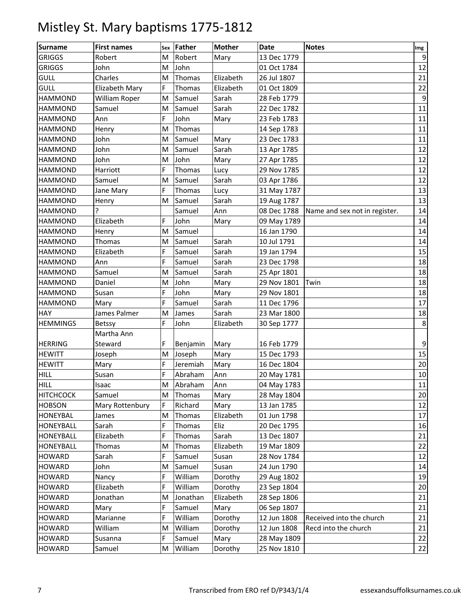| <b>Surname</b>   | <b>First names</b> |   | sex Father | <b>Mother</b> | <b>Date</b> | <b>Notes</b>                  | Img |
|------------------|--------------------|---|------------|---------------|-------------|-------------------------------|-----|
| <b>GRIGGS</b>    | Robert             | M | Robert     | Mary          | 13 Dec 1779 |                               | 9   |
| <b>GRIGGS</b>    | John               | M | John       |               | 01 Oct 1784 |                               | 12  |
| <b>GULL</b>      | Charles            | M | Thomas     | Elizabeth     | 26 Jul 1807 |                               | 21  |
| <b>GULL</b>      | Elizabeth Mary     | F | Thomas     | Elizabeth     | 01 Oct 1809 |                               | 22  |
| <b>HAMMOND</b>   | William Roper      | M | Samuel     | Sarah         | 28 Feb 1779 |                               | 9   |
| <b>HAMMOND</b>   | Samuel             | M | Samuel     | Sarah         | 22 Dec 1782 |                               | 11  |
| <b>HAMMOND</b>   | Ann                | F | John       | Mary          | 23 Feb 1783 |                               | 11  |
| <b>HAMMOND</b>   | Henry              | M | Thomas     |               | 14 Sep 1783 |                               | 11  |
| <b>HAMMOND</b>   | John               | M | Samuel     | Mary          | 23 Dec 1783 |                               | 11  |
| <b>HAMMOND</b>   | John               | M | Samuel     | Sarah         | 13 Apr 1785 |                               | 12  |
| <b>HAMMOND</b>   | John               | M | John       | Mary          | 27 Apr 1785 |                               | 12  |
| <b>HAMMOND</b>   | Harriott           | F | Thomas     | Lucy          | 29 Nov 1785 |                               | 12  |
| <b>HAMMOND</b>   | Samuel             | M | Samuel     | Sarah         | 03 Apr 1786 |                               | 12  |
| <b>HAMMOND</b>   | Jane Mary          | F | Thomas     | Lucy          | 31 May 1787 |                               | 13  |
| <b>HAMMOND</b>   | Henry              | M | Samuel     | Sarah         | 19 Aug 1787 |                               | 13  |
| <b>HAMMOND</b>   | Ç                  |   | Samuel     | Ann           | 08 Dec 1788 | Name and sex not in register. | 14  |
| <b>HAMMOND</b>   | Elizabeth          | F | John       | Mary          | 09 May 1789 |                               | 14  |
| <b>HAMMOND</b>   | Henry              | M | Samuel     |               | 16 Jan 1790 |                               | 14  |
| <b>HAMMOND</b>   | Thomas             | M | Samuel     | Sarah         | 10 Jul 1791 |                               | 14  |
| <b>HAMMOND</b>   | Elizabeth          | F | Samuel     | Sarah         | 19 Jan 1794 |                               | 15  |
| <b>HAMMOND</b>   | Ann                | F | Samuel     | Sarah         | 23 Dec 1798 |                               | 18  |
| <b>HAMMOND</b>   | Samuel             | M | Samuel     | Sarah         | 25 Apr 1801 |                               | 18  |
| <b>HAMMOND</b>   | Daniel             | M | John       | Mary          | 29 Nov 1801 | Twin                          | 18  |
| <b>HAMMOND</b>   | Susan              | F | John       | Mary          | 29 Nov 1801 |                               | 18  |
| <b>HAMMOND</b>   | Mary               | F | Samuel     | Sarah         | 11 Dec 1796 |                               | 17  |
| <b>HAY</b>       | James Palmer       | M | James      | Sarah         | 23 Mar 1800 |                               | 18  |
| <b>HEMMINGS</b>  | Betssy             | F | John       | Elizabeth     | 30 Sep 1777 |                               | 8   |
|                  | Martha Ann         |   |            |               |             |                               |     |
| <b>HERRING</b>   | Steward            | F | Benjamin   | Mary          | 16 Feb 1779 |                               | 9   |
| <b>HEWITT</b>    | Joseph             | M | Joseph     | Mary          | 15 Dec 1793 |                               | 15  |
| <b>HEWITT</b>    | Mary               | F | Jeremiah   | Mary          | 16 Dec 1804 |                               | 20  |
| <b>HILL</b>      | Susan              | F | Abraham    | Ann           | 20 May 1781 |                               | 10  |
| HILL             | Isaac              | M | Abraham    | Ann           | 04 May 1783 |                               | 11  |
| <b>HITCHCOCK</b> | Samuel             | M | Thomas     | Mary          | 28 May 1804 |                               | 20  |
| <b>HOBSON</b>    | Mary Rottenbury    | F | Richard    | Mary          | 13 Jan 1785 |                               | 12  |
| <b>HONEYBAL</b>  | James              | M | Thomas     | Elizabeth     | 01 Jun 1798 |                               | 17  |
| <b>HONEYBALL</b> | Sarah              | F | Thomas     | Eliz          | 20 Dec 1795 |                               | 16  |
| <b>HONEYBALL</b> | Elizabeth          | F | Thomas     | Sarah         | 13 Dec 1807 |                               | 21  |
| <b>HONEYBALL</b> | Thomas             | M | Thomas     | Elizabeth     | 19 Mar 1809 |                               | 22  |
| <b>HOWARD</b>    | Sarah              | F | Samuel     | Susan         | 28 Nov 1784 |                               | 12  |
| <b>HOWARD</b>    | John               | M | Samuel     | Susan         | 24 Jun 1790 |                               | 14  |
| <b>HOWARD</b>    | Nancy              | F | William    | Dorothy       | 29 Aug 1802 |                               | 19  |
| <b>HOWARD</b>    | Elizabeth          | F | William    | Dorothy       | 23 Sep 1804 |                               | 20  |
| <b>HOWARD</b>    | Jonathan           | M | Jonathan   | Elizabeth     | 28 Sep 1806 |                               | 21  |
| <b>HOWARD</b>    | Mary               | F | Samuel     | Mary          | 06 Sep 1807 |                               | 21  |
| <b>HOWARD</b>    | Marianne           | F | William    | Dorothy       | 12 Jun 1808 | Received into the church      | 21  |
| <b>HOWARD</b>    | William            | M | William    | Dorothy       | 12 Jun 1808 | Recd into the church          | 21  |
| <b>HOWARD</b>    | Susanna            | F | Samuel     | Mary          | 28 May 1809 |                               | 22  |
| <b>HOWARD</b>    | Samuel             | M | William    | Dorothy       | 25 Nov 1810 |                               | 22  |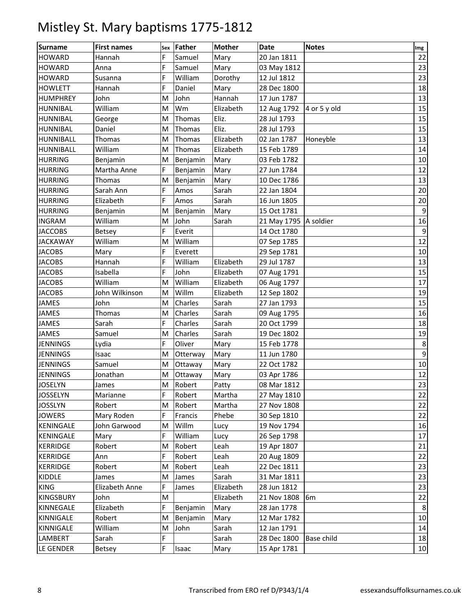| <b>Surname</b>   | <b>First names</b> | Sex | <b>Father</b> | <b>Mother</b> | <b>Date</b>           | <b>Notes</b> | Img            |
|------------------|--------------------|-----|---------------|---------------|-----------------------|--------------|----------------|
| <b>HOWARD</b>    | Hannah             | F   | Samuel        | Mary          | 20 Jan 1811           |              | 22             |
| <b>HOWARD</b>    | Anna               | F   | Samuel        | Mary          | 03 May 1812           |              | 23             |
| <b>HOWARD</b>    | Susanna            | F   | William       | Dorothy       | 12 Jul 1812           |              | 23             |
| <b>HOWLETT</b>   | Hannah             | F   | Daniel        | Mary          | 28 Dec 1800           |              | 18             |
| <b>HUMPHREY</b>  | John               | M   | John          | Hannah        | 17 Jun 1787           |              | 13             |
| <b>HUNNIBAL</b>  | William            | M   | Wm            | Elizabeth     | 12 Aug 1792           | 4 or 5 y old | 15             |
| <b>HUNNIBAL</b>  | George             | M   | Thomas        | Eliz.         | 28 Jul 1793           |              | 15             |
| <b>HUNNIBAL</b>  | Daniel             | M   | Thomas        | Eliz.         | 28 Jul 1793           |              | 15             |
| HUNNIBALL        | <b>Thomas</b>      | M   | Thomas        | Elizabeth     | 02 Jan 1787           | Honeyble     | 13             |
| <b>HUNNIBALL</b> | William            | M   | Thomas        | Elizabeth     | 15 Feb 1789           |              | 14             |
| <b>HURRING</b>   | Benjamin           | M   | Benjamin      | Mary          | 03 Feb 1782           |              | 10             |
| <b>HURRING</b>   | Martha Anne        | F   | Benjamin      | Mary          | 27 Jun 1784           |              | 12             |
| <b>HURRING</b>   | Thomas             | M   | Benjamin      | Mary          | 10 Dec 1786           |              | 13             |
| <b>HURRING</b>   | Sarah Ann          | F   | Amos          | Sarah         | 22 Jan 1804           |              | 20             |
| <b>HURRING</b>   | Elizabeth          | F   | Amos          | Sarah         | 16 Jun 1805           |              | 20             |
| <b>HURRING</b>   | Benjamin           | M   | Benjamin      | Mary          | 15 Oct 1781           |              | $\overline{9}$ |
| <b>INGRAM</b>    | William            | M   | John          | Sarah         | 21 May 1795 A soldier |              | 16             |
| <b>JACCOBS</b>   | <b>Betsey</b>      | F   | Everit        |               | 14 Oct 1780           |              | $9\,$          |
| <b>JACKAWAY</b>  | William            | M   | William       |               | 07 Sep 1785           |              | 12             |
| <b>JACOBS</b>    | Mary               | F   | Everett       |               | 29 Sep 1781           |              | 10             |
| <b>JACOBS</b>    | Hannah             | F   | William       | Elizabeth     | 29 Jul 1787           |              | 13             |
| <b>JACOBS</b>    | Isabella           | F   | John          | Elizabeth     | 07 Aug 1791           |              | 15             |
| <b>JACOBS</b>    | William            | M   | William       | Elizabeth     | 06 Aug 1797           |              | 17             |
| <b>JACOBS</b>    | John Wilkinson     | M   | Willm         | Elizabeth     | 12 Sep 1802           |              | 19             |
| <b>JAMES</b>     | John               | M   | Charles       | Sarah         | 27 Jan 1793           |              | 15             |
| <b>JAMES</b>     | Thomas             | M   | Charles       | Sarah         | 09 Aug 1795           |              | 16             |
| JAMES            | Sarah              | F   | Charles       | Sarah         | 20 Oct 1799           |              | 18             |
| <b>JAMES</b>     | Samuel             | M   | Charles       | Sarah         | 19 Dec 1802           |              | 19             |
| <b>JENNINGS</b>  | Lydia              | F   | Oliver        | Mary          | 15 Feb 1778           |              | 8              |
| <b>JENNINGS</b>  | Isaac              | M   | Otterway      | Mary          | 11 Jun 1780           |              | 9              |
| <b>JENNINGS</b>  | Samuel             | M   | Ottaway       | Mary          | 22 Oct 1782           |              | 10             |
| <b>JENNINGS</b>  | Jonathan           | M   | Ottaway       | Mary          | 03 Apr 1786           |              | 12             |
| <b>JOSELYN</b>   | James              | M   | Robert        | Patty         | 08 Mar 1812           |              | 23             |
| JOSSELYN         | Marianne           | F   | Robert        | Martha        | 27 May 1810           |              | 22             |
| <b>JOSSLYN</b>   | Robert             | M   | Robert        | Martha        | 27 Nov 1808           |              | 22             |
| <b>JOWERS</b>    | Mary Roden         | F   | Francis       | Phebe         | 30 Sep 1810           |              | 22             |
| KENINGALE        | John Garwood       | M   | Willm         | Lucy          | 19 Nov 1794           |              | 16             |
| KENINGALE        | Mary               | F   | William       | Lucy          | 26 Sep 1798           |              | 17             |
| <b>KERRIDGE</b>  | Robert             | M   | Robert        | Leah          | 19 Apr 1807           |              | 21             |
| <b>KERRIDGE</b>  | Ann                | F   | Robert        | Leah          | 20 Aug 1809           |              | 22             |
| <b>KERRIDGE</b>  | Robert             | M   | Robert        | Leah          | 22 Dec 1811           |              | 23             |
| KIDDLE           | James              | M   | James         | Sarah         | 31 Mar 1811           |              | 23             |
| <b>KING</b>      | Elizabeth Anne     | F   | James         | Elizabeth     | 28 Jun 1812           |              | 23             |
| <b>KINGSBURY</b> | John               | M   |               | Elizabeth     | 21 Nov 1808           | 6m           | 22             |
| KINNEGALE        | Elizabeth          | F   | Benjamin      | Mary          | 28 Jan 1778           |              | 8              |
| KINNIGALE        | Robert             | M   | Benjamin      | Mary          | 12 Mar 1782           |              | 10             |
| KINNIGALE        | William            | M   | John          | Sarah         | 12 Jan 1791           |              | 14             |
| LAMBERT          | Sarah              | F   |               | Sarah         | 28 Dec 1800           | Base child   | 18             |
| LE GENDER        | <b>Betsey</b>      | F   | Isaac         | Mary          | 15 Apr 1781           |              | 10             |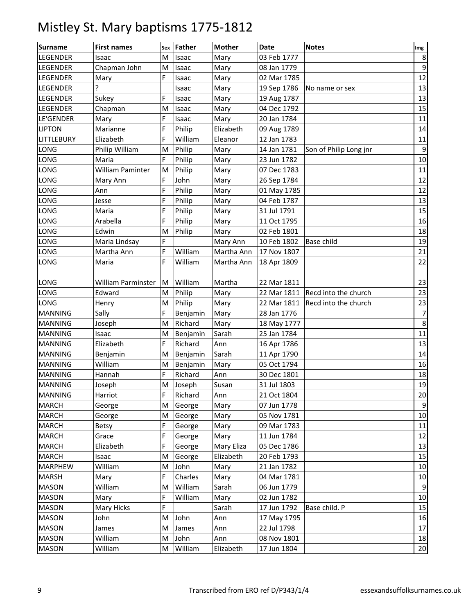| <b>Surname</b>    | <b>First names</b> | Sex | <b>Father</b> | <b>Mother</b> | <b>Date</b> | <b>Notes</b>           | Img            |
|-------------------|--------------------|-----|---------------|---------------|-------------|------------------------|----------------|
| <b>LEGENDER</b>   | Isaac              | M   | Isaac         | Mary          | 03 Feb 1777 |                        | 8              |
| <b>LEGENDER</b>   | Chapman John       | M   | Isaac         | Mary          | 08 Jan 1779 |                        | 9              |
| LEGENDER          | Mary               | F   | Isaac         | Mary          | 02 Mar 1785 |                        | 12             |
| LEGENDER          |                    |     | Isaac         | Mary          | 19 Sep 1786 | No name or sex         | 13             |
| <b>LEGENDER</b>   | Sukey              | F   | Isaac         | Mary          | 19 Aug 1787 |                        | 13             |
| <b>LEGENDER</b>   | Chapman            | M   | Isaac         | Mary          | 04 Dec 1792 |                        | 15             |
| LE'GENDER         | Mary               | F   | Isaac         | Mary          | 20 Jan 1784 |                        | 11             |
| <b>LIPTON</b>     | Marianne           | F   | Philip        | Elizabeth     | 09 Aug 1789 |                        | 14             |
| <b>LITTLEBURY</b> | Elizabeth          | F   | William       | Eleanor       | 12 Jan 1783 |                        | 11             |
| <b>LONG</b>       | Philip William     | M   | Philip        | Mary          | 14 Jan 1781 | Son of Philip Long jnr | 9              |
| LONG              | Maria              | F   | Philip        | Mary          | 23 Jun 1782 |                        | 10             |
| LONG              | William Paminter   | M   | Philip        | Mary          | 07 Dec 1783 |                        | 11             |
| LONG              | Mary Ann           | F   | John          | Mary          | 26 Sep 1784 |                        | 12             |
| LONG              | Ann                | F   | Philip        | Mary          | 01 May 1785 |                        | 12             |
| LONG              | Jesse              | F   | Philip        | Mary          | 04 Feb 1787 |                        | 13             |
| LONG              | Maria              | F   | Philip        | Mary          | 31 Jul 1791 |                        | 15             |
| LONG              | Arabella           | F   | Philip        | Mary          | 11 Oct 1795 |                        | 16             |
| LONG              | Edwin              | M   | Philip        | Mary          | 02 Feb 1801 |                        | 18             |
| LONG              | Maria Lindsay      | F   |               | Mary Ann      | 10 Feb 1802 | Base child             | 19             |
| <b>LONG</b>       | Martha Ann         | F   | William       | Martha Ann    | 17 Nov 1807 |                        | 21             |
| LONG              | Maria              | F   | William       | Martha Ann    | 18 Apr 1809 |                        | 22             |
|                   |                    |     |               |               |             |                        |                |
| LONG              | William Parminster | M   | William       | Martha        | 22 Mar 1811 |                        | 23             |
| <b>LONG</b>       | Edward             | M   | Philip        | Mary          | 22 Mar 1811 | Recd into the church   | 23             |
| <b>LONG</b>       | Henry              | M   | Philip        | Mary          | 22 Mar 1811 | Recd into the church   | 23             |
| <b>MANNING</b>    | Sally              | F   | Benjamin      | Mary          | 28 Jan 1776 |                        | $\overline{7}$ |
| <b>MANNING</b>    | Joseph             | M   | Richard       | Mary          | 18 May 1777 |                        | 8              |
| <b>MANNING</b>    | Isaac              | M   | Benjamin      | Sarah         | 25 Jan 1784 |                        | 11             |
| <b>MANNING</b>    | Elizabeth          | F   | Richard       | Ann           | 16 Apr 1786 |                        | 13             |
| <b>MANNING</b>    | Benjamin           | M   | Benjamin      | Sarah         | 11 Apr 1790 |                        | 14             |
| <b>MANNING</b>    | William            | M   | Benjamin      | Mary          | 05 Oct 1794 |                        | 16             |
| <b>MANNING</b>    | Hannah             | F   | Richard       | Ann           | 30 Dec 1801 |                        | 18             |
| <b>MANNING</b>    | Joseph             | M   | Joseph        | Susan         | 31 Jul 1803 |                        | 19             |
| <b>MANNING</b>    | Harriot            | F   | Richard       | Ann           | 21 Oct 1804 |                        | 20             |
| <b>MARCH</b>      | George             | M   | George        | Mary          | 07 Jun 1778 |                        | 9              |
| <b>MARCH</b>      | George             | M   | George        | Mary          | 05 Nov 1781 |                        | $10\,$         |
| <b>MARCH</b>      | <b>Betsy</b>       | F   | George        | Mary          | 09 Mar 1783 |                        | 11             |
| <b>MARCH</b>      | Grace              | F   | George        | Mary          | 11 Jun 1784 |                        | 12             |
| <b>MARCH</b>      | Elizabeth          | F   | George        | Mary Eliza    | 05 Dec 1786 |                        | 13             |
| <b>MARCH</b>      | Isaac              | M   | George        | Elizabeth     | 20 Feb 1793 |                        | 15             |
| <b>MARPHEW</b>    | William            | M   | John          | Mary          | 21 Jan 1782 |                        | 10             |
| <b>MARSH</b>      | Mary               | F   | Charles       | Mary          | 04 Mar 1781 |                        | 10             |
| <b>MASON</b>      | William            | M   | William       | Sarah         | 06 Jun 1779 |                        | 9              |
| <b>MASON</b>      | Mary               | F   | William       | Mary          | 02 Jun 1782 |                        | 10             |
| <b>MASON</b>      | Mary Hicks         | F   |               | Sarah         | 17 Jun 1792 | Base child. P          | 15             |
| <b>MASON</b>      | John               | M   | John          | Ann           | 17 May 1795 |                        | 16             |
| <b>MASON</b>      | James              | M   | James         | Ann           | 22 Jul 1798 |                        | 17             |
| <b>MASON</b>      | William            | M   | John          | Ann           | 08 Nov 1801 |                        | 18             |
| <b>MASON</b>      | William            | M   | William       | Elizabeth     | 17 Jun 1804 |                        | 20             |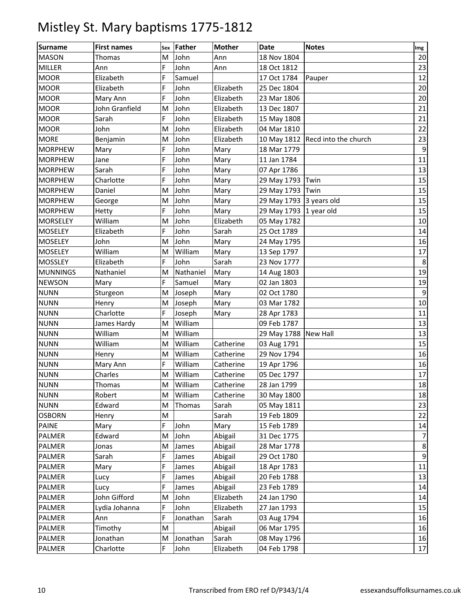| <b>Surname</b>  | <b>First names</b> |   | sex Father | <b>Mother</b> | Date                    | <b>Notes</b>                     | Img |
|-----------------|--------------------|---|------------|---------------|-------------------------|----------------------------------|-----|
| <b>MASON</b>    | Thomas             | M | John       | Ann           | 18 Nov 1804             |                                  | 20  |
| <b>MILLER</b>   | Ann                | F | John       | Ann           | 18 Oct 1812             |                                  | 23  |
| <b>MOOR</b>     | Elizabeth          | F | Samuel     |               | 17 Oct 1784             | Pauper                           | 12  |
| <b>MOOR</b>     | Elizabeth          | F | John       | Elizabeth     | 25 Dec 1804             |                                  | 20  |
| <b>MOOR</b>     | Mary Ann           | F | John       | Elizabeth     | 23 Mar 1806             |                                  | 20  |
| <b>MOOR</b>     | John Granfield     | M | John       | Elizabeth     | 13 Dec 1807             |                                  | 21  |
| <b>MOOR</b>     | Sarah              | F | John       | Elizabeth     | 15 May 1808             |                                  | 21  |
| <b>MOOR</b>     | John               | M | John       | Elizabeth     | 04 Mar 1810             |                                  | 22  |
| <b>MORE</b>     | Benjamin           | M | John       | Elizabeth     |                         | 10 May 1812 Recd into the church | 23  |
| <b>MORPHEW</b>  | Mary               | F | John       | Mary          | 18 Mar 1779             |                                  | 9   |
| <b>MORPHEW</b>  | Jane               | F | John       | Mary          | 11 Jan 1784             |                                  | 11  |
| <b>MORPHEW</b>  | Sarah              | F | John       | Mary          | 07 Apr 1786             |                                  | 13  |
| <b>MORPHEW</b>  | Charlotte          | F | John       | Mary          | 29 May 1793             | Twin                             | 15  |
| <b>MORPHEW</b>  | Daniel             | M | John       | Mary          | 29 May 1793             | Twin                             | 15  |
| <b>MORPHEW</b>  | George             | M | John       | Mary          | 29 May 1793 3 years old |                                  | 15  |
| <b>MORPHEW</b>  | Hetty              | F | John       | Mary          | 29 May 1793 1 year old  |                                  | 15  |
| <b>MORSELEY</b> | William            | M | John       | Elizabeth     | 05 May 1782             |                                  | 10  |
| <b>MOSELEY</b>  | Elizabeth          | F | John       | Sarah         | 25 Oct 1789             |                                  | 14  |
| <b>MOSELEY</b>  | John               | M | John       | Mary          | 24 May 1795             |                                  | 16  |
| <b>MOSELEY</b>  | William            | M | William    | Mary          | 13 Sep 1797             |                                  | 17  |
| <b>MOSSLEY</b>  | Elizabeth          | F | John       | Sarah         | 23 Nov 1777             |                                  | 8   |
| <b>MUNNINGS</b> | Nathaniel          | M | Nathaniel  | Mary          | 14 Aug 1803             |                                  | 19  |
| <b>NEWSON</b>   | Mary               | F | Samuel     | Mary          | 02 Jan 1803             |                                  | 19  |
| <b>NUNN</b>     | Sturgeon           | M | Joseph     | Mary          | 02 Oct 1780             |                                  | 9   |
| <b>NUNN</b>     | Henry              | M | Joseph     | Mary          | 03 Mar 1782             |                                  | 10  |
| <b>NUNN</b>     | Charlotte          | F | Joseph     | Mary          | 28 Apr 1783             |                                  | 11  |
| <b>NUNN</b>     | James Hardy        | M | William    |               | 09 Feb 1787             |                                  | 13  |
| <b>NUNN</b>     | William            | M | William    |               | 29 May 1788 New Hall    |                                  | 13  |
| <b>NUNN</b>     | William            | M | William    | Catherine     | 03 Aug 1791             |                                  | 15  |
| <b>NUNN</b>     | Henry              | M | William    | Catherine     | 29 Nov 1794             |                                  | 16  |
| <b>NUNN</b>     | Mary Ann           | F | William    | Catherine     | 19 Apr 1796             |                                  | 16  |
| <b>NUNN</b>     | Charles            | M | William    | Catherine     | 05 Dec 1797             |                                  | 17  |
| <b>NUNN</b>     | Thomas             | M | William    | Catherine     | 28 Jan 1799             |                                  | 18  |
| <b>NUNN</b>     | Robert             | M | William    | Catherine     | 30 May 1800             |                                  | 18  |
| <b>NUNN</b>     | Edward             | M | Thomas     | Sarah         | 05 May 1811             |                                  | 23  |
| <b>OSBORN</b>   | Henry              | M |            | Sarah         | 19 Feb 1809             |                                  | 22  |
| <b>PAINE</b>    | Mary               | F | John       | Mary          | 15 Feb 1789             |                                  | 14  |
| <b>PALMER</b>   | Edward             | M | John       | Abigail       | 31 Dec 1775             |                                  | 7   |
| <b>PALMER</b>   | Jonas              | M | James      | Abigail       | 28 Mar 1778             |                                  | 8   |
| <b>PALMER</b>   | Sarah              | F | James      | Abigail       | 29 Oct 1780             |                                  | 9   |
| <b>PALMER</b>   | Mary               | F | James      | Abigail       | 18 Apr 1783             |                                  | 11  |
| <b>PALMER</b>   | Lucy               | F | James      | Abigail       | 20 Feb 1788             |                                  | 13  |
| <b>PALMER</b>   | Lucy               | F | James      | Abigail       | 23 Feb 1789             |                                  | 14  |
| PALMER          | John Gifford       | M | John       | Elizabeth     | 24 Jan 1790             |                                  | 14  |
| <b>PALMER</b>   | Lydia Johanna      | F | John       | Elizabeth     | 27 Jan 1793             |                                  | 15  |
| <b>PALMER</b>   | Ann                | F | Jonathan   | Sarah         | 03 Aug 1794             |                                  | 16  |
| PALMER          | Timothy            | M |            | Abigail       | 06 Mar 1795             |                                  | 16  |
| <b>PALMER</b>   | Jonathan           | M | Jonathan   | Sarah         | 08 May 1796             |                                  | 16  |
| PALMER          | Charlotte          | F | John       | Elizabeth     | 04 Feb 1798             |                                  | 17  |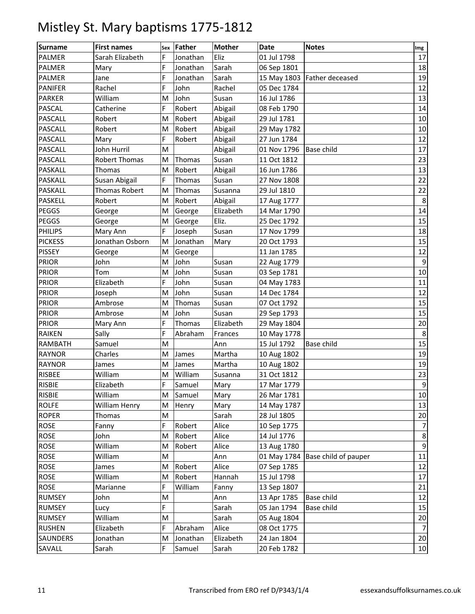| Surname         | <b>First names</b>   | Sex | Father   | <b>Mother</b> | <b>Date</b> | <b>Notes</b>                | Img              |
|-----------------|----------------------|-----|----------|---------------|-------------|-----------------------------|------------------|
| <b>PALMER</b>   | Sarah Elizabeth      | F   | Jonathan | Eliz          | 01 Jul 1798 |                             | 17               |
| <b>PALMER</b>   | Mary                 | F   | Jonathan | Sarah         | 06 Sep 1801 |                             | 18               |
| <b>PALMER</b>   | Jane                 | F   | Jonathan | Sarah         |             | 15 May 1803 Father deceased | 19               |
| <b>PANIFER</b>  | Rachel               | F   | John     | Rachel        | 05 Dec 1784 |                             | 12               |
| <b>PARKER</b>   | William              | M   | John     | Susan         | 16 Jul 1786 |                             | 13               |
| <b>PASCAL</b>   | Catherine            | F   | Robert   | Abigail       | 08 Feb 1790 |                             | 14               |
| <b>PASCALL</b>  | Robert               | M   | Robert   | Abigail       | 29 Jul 1781 |                             | 10               |
| <b>PASCALL</b>  | Robert               | M   | Robert   | Abigail       | 29 May 1782 |                             | 10               |
| <b>PASCALL</b>  | Mary                 | F   | Robert   | Abigail       | 27 Jun 1784 |                             | 12               |
| <b>PASCALL</b>  | John Hurril          | M   |          | Abigail       | 01 Nov 1796 | <b>Base child</b>           | 17               |
| <b>PASCALL</b>  | <b>Robert Thomas</b> | M   | Thomas   | Susan         | 11 Oct 1812 |                             | 23               |
| <b>PASKALL</b>  | Thomas               | M   | Robert   | Abigail       | 16 Jun 1786 |                             | 13               |
| <b>PASKALL</b>  | Susan Abigail        | F   | Thomas   | Susan         | 27 Nov 1808 |                             | 22               |
| <b>PASKALL</b>  | Thomas Robert        | M   | Thomas   | Susanna       | 29 Jul 1810 |                             | 22               |
| <b>PASKELL</b>  | Robert               | M   | Robert   | Abigail       | 17 Aug 1777 |                             | 8                |
| <b>PEGGS</b>    | George               | M   | George   | Elizabeth     | 14 Mar 1790 |                             | 14               |
| <b>PEGGS</b>    | George               | M   | George   | Eliz.         | 25 Dec 1792 |                             | 15               |
| <b>PHILIPS</b>  | Mary Ann             | F   | Joseph   | Susan         | 17 Nov 1799 |                             | 18               |
| <b>PICKESS</b>  | Jonathan Osborn      | M   | Jonathan | Mary          | 20 Oct 1793 |                             | 15               |
| <b>PISSEY</b>   | George               | M   | George   |               | 11 Jan 1785 |                             | 12               |
| <b>PRIOR</b>    | John                 | M   | John     | Susan         | 22 Aug 1779 |                             | 9                |
| <b>PRIOR</b>    | Tom                  | M   | John     | Susan         | 03 Sep 1781 |                             | 10               |
| <b>PRIOR</b>    | Elizabeth            | F   | John     | Susan         | 04 May 1783 |                             | 11               |
| <b>PRIOR</b>    | Joseph               | M   | John     | Susan         | 14 Dec 1784 |                             | 12               |
| <b>PRIOR</b>    | Ambrose              | M   | Thomas   | Susan         | 07 Oct 1792 |                             | 15               |
| <b>PRIOR</b>    | Ambrose              | M   | John     | Susan         | 29 Sep 1793 |                             | 15               |
| <b>PRIOR</b>    | Mary Ann             | F   | Thomas   | Elizabeth     | 29 May 1804 |                             | 20               |
| <b>RAIKEN</b>   | Sally                | F   | Abraham  | Frances       | 10 May 1778 |                             | 8                |
| <b>RAMBATH</b>  | Samuel               | M   |          | Ann           | 15 Jul 1792 | Base child                  | 15               |
| <b>RAYNOR</b>   | Charles              | M   | James    | Martha        | 10 Aug 1802 |                             | 19               |
| <b>RAYNOR</b>   | James                | M   | James    | Martha        | 10 Aug 1802 |                             | 19               |
| <b>RISBEE</b>   | William              | M   | William  | Susanna       | 31 Oct 1812 |                             | 23               |
| <b>RISBIE</b>   | Elizabeth            | F   | Samuel   | Mary          | 17 Mar 1779 |                             | $\boldsymbol{9}$ |
| <b>RISBIE</b>   | William              | M   | Samuel   | Mary          | 26 Mar 1781 |                             | 10               |
| <b>ROLFE</b>    | William Henry        | M   | Henry    | Mary          | 14 May 1787 |                             | 13               |
| <b>ROPER</b>    | Thomas               | M   |          | Sarah         | 28 Jul 1805 |                             | 20               |
| <b>ROSE</b>     | Fanny                | F   | Robert   | Alice         | 10 Sep 1775 |                             | $\overline{7}$   |
| <b>ROSE</b>     | John                 | M   | Robert   | Alice         | 14 Jul 1776 |                             | $\bf 8$          |
| <b>ROSE</b>     | William              | M   | Robert   | Alice         | 13 Aug 1780 |                             | $9\,$            |
| <b>ROSE</b>     | William              | M   |          | Ann           | 01 May 1784 | Base child of pauper        | 11               |
| <b>ROSE</b>     | James                | M   | Robert   | Alice         | 07 Sep 1785 |                             | 12               |
| <b>ROSE</b>     | William              | M   | Robert   | Hannah        | 15 Jul 1798 |                             | 17               |
| <b>ROSE</b>     | Marianne             | F   | William  | Fanny         | 13 Sep 1807 |                             | 21               |
| <b>RUMSEY</b>   | John                 | M   |          | Ann           | 13 Apr 1785 | Base child                  | 12               |
| <b>RUMSEY</b>   | Lucy                 | F   |          | Sarah         | 05 Jan 1794 | Base child                  | 15               |
| <b>RUMSEY</b>   | William              | M   |          | Sarah         | 05 Aug 1804 |                             | 20               |
| <b>RUSHEN</b>   | Elizabeth            | F   | Abraham  | Alice         | 08 Oct 1775 |                             | $\overline{7}$   |
| <b>SAUNDERS</b> | Jonathan             | M   | Jonathan | Elizabeth     | 24 Jan 1804 |                             | 20               |
| SAVALL          | Sarah                | F.  | Samuel   | Sarah         | 20 Feb 1782 |                             | 10               |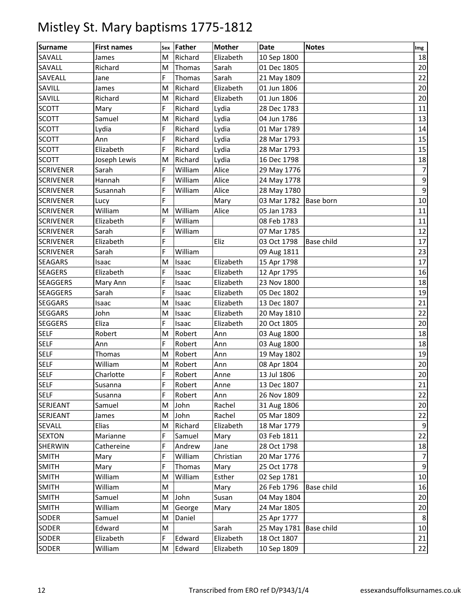| <b>Surname</b>   | <b>First names</b> |           | Sex Father | <b>Mother</b> | Date                  | <b>Notes</b> | Img            |
|------------------|--------------------|-----------|------------|---------------|-----------------------|--------------|----------------|
| SAVALL           | James              | M         | Richard    | Elizabeth     | 10 Sep 1800           |              | 18             |
| SAVALL           | Richard            | M         | Thomas     | Sarah         | 01 Dec 1805           |              | 20             |
| SAVEALL          | Jane               | F         | Thomas     | Sarah         | 21 May 1809           |              | 22             |
| SAVILL           | James              | M         | Richard    | Elizabeth     | 01 Jun 1806           |              | 20             |
| SAVILL           | Richard            | M         | Richard    | Elizabeth     | 01 Jun 1806           |              | 20             |
| <b>SCOTT</b>     | Mary               | F         | Richard    | Lydia         | 28 Dec 1783           |              | 11             |
| <b>SCOTT</b>     | Samuel             | M         | Richard    | Lydia         | 04 Jun 1786           |              | 13             |
| <b>SCOTT</b>     | Lydia              | F         | Richard    | Lydia         | 01 Mar 1789           |              | 14             |
| <b>SCOTT</b>     | Ann                | F         | Richard    | Lydia         | 28 Mar 1793           |              | 15             |
| <b>SCOTT</b>     | Elizabeth          | F         | Richard    | Lydia         | 28 Mar 1793           |              | 15             |
| <b>SCOTT</b>     | Joseph Lewis       | M         | Richard    | Lydia         | 16 Dec 1798           |              | 18             |
| <b>SCRIVENER</b> | Sarah              | F         | William    | Alice         | 29 May 1776           |              | 7              |
| <b>SCRIVENER</b> | Hannah             | F         | William    | Alice         | 24 May 1778           |              | $9\,$          |
| <b>SCRIVENER</b> | Susannah           | F         | William    | Alice         | 28 May 1780           |              | 9              |
| <b>SCRIVENER</b> | Lucy               | F         |            | Mary          | 03 Mar 1782 Base born |              | 10             |
| <b>SCRIVENER</b> | William            | M         | William    | Alice         | 05 Jan 1783           |              | 11             |
| <b>SCRIVENER</b> | Elizabeth          | F         | William    |               | 08 Feb 1783           |              | 11             |
| <b>SCRIVENER</b> | Sarah              | F         | William    |               | 07 Mar 1785           |              | 12             |
| <b>SCRIVENER</b> | Elizabeth          | F         |            | Eliz          | 03 Oct 1798           | Base child   | 17             |
| <b>SCRIVENER</b> | Sarah              | F         | William    |               | 09 Aug 1811           |              | 23             |
| <b>SEAGARS</b>   | Isaac              | M         | Isaac      | Elizabeth     | 15 Apr 1798           |              | 17             |
| <b>SEAGERS</b>   | Elizabeth          | F         | Isaac      | Elizabeth     | 12 Apr 1795           |              | 16             |
| <b>SEAGGERS</b>  | Mary Ann           | F         | Isaac      | Elizabeth     | 23 Nov 1800           |              | 18             |
| <b>SEAGGERS</b>  | Sarah              | F         | Isaac      | Elizabeth     | 05 Dec 1802           |              | 19             |
| <b>SEGGARS</b>   | Isaac              | M         | Isaac      | Elizabeth     | 13 Dec 1807           |              | 21             |
| <b>SEGGARS</b>   | John               | M         | Isaac      | Elizabeth     | 20 May 1810           |              | 22             |
| <b>SEGGERS</b>   | Eliza              | F         | Isaac      | Elizabeth     | 20 Oct 1805           |              | 20             |
| <b>SELF</b>      | Robert             | M         | Robert     | Ann           | 03 Aug 1800           |              | 18             |
| <b>SELF</b>      | Ann                | F         | Robert     | Ann           | 03 Aug 1800           |              | 18             |
| <b>SELF</b>      | Thomas             | M         | Robert     | Ann           | 19 May 1802           |              | 19             |
| <b>SELF</b>      | William            | M         | Robert     | Ann           | 08 Apr 1804           |              | 20             |
| <b>SELF</b>      | Charlotte          | F         | Robert     | Anne          | 13 Jul 1806           |              | 20             |
| <b>SELF</b>      | Susanna            | F         | Robert     | Anne          | 13 Dec 1807           |              | 21             |
| <b>SELF</b>      | Susanna            | F         | Robert     | Ann           | 26 Nov 1809           |              | 22             |
| SERJEANT         | Samuel             | M         | John       | Rachel        | 31 Aug 1806           |              | 20             |
| SERJEANT         | James              | M         | John       | Rachel        | 05 Mar 1809           |              | 22             |
| SEVALL           | Elias              | M         | Richard    | Elizabeth     | 18 Mar 1779           |              | $9\,$          |
| <b>SEXTON</b>    | Marianne           | F         | Samuel     | Mary          | 03 Feb 1811           |              | 22             |
| <b>SHERWIN</b>   | Cathereine         | F         | Andrew     | Jane          | 28 Oct 1798           |              | 18             |
| <b>SMITH</b>     | Mary               | F         | William    | Christian     | 20 Mar 1776           |              | $\overline{7}$ |
| <b>SMITH</b>     | Mary               | F         | Thomas     | Mary          | 25 Oct 1778           |              | $\overline{9}$ |
| <b>SMITH</b>     | William            | M         | William    | Esther        | 02 Sep 1781           |              | 10             |
| <b>SMITH</b>     | William            | M         |            | Mary          | 26 Feb 1796           | Base child   | 16             |
| <b>SMITH</b>     | Samuel             | M         | John       | Susan         | 04 May 1804           |              | 20             |
| <b>SMITH</b>     | William            | M         | George     | Mary          | 24 Mar 1805           |              | 20             |
| <b>SODER</b>     | Samuel             | M         | Daniel     |               | 25 Apr 1777           |              | 8              |
| <b>SODER</b>     | Edward             | ${\sf M}$ |            | Sarah         | 25 May 1781           | Base child   | 10             |
| SODER            | Elizabeth          | F         | Edward     | Elizabeth     | 18 Oct 1807           |              | 21             |
| SODER            | William            | M         | Edward     | Elizabeth     | 10 Sep 1809           |              | 22             |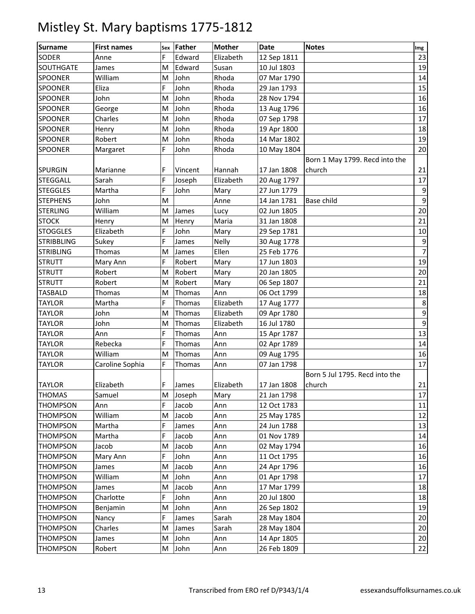| <b>Surname</b>    | <b>First names</b> |   | Sex Father | <b>Mother</b> | <b>Date</b> | <b>Notes</b>                   | Img |
|-------------------|--------------------|---|------------|---------------|-------------|--------------------------------|-----|
| <b>SODER</b>      | Anne               | F | Edward     | Elizabeth     | 12 Sep 1811 |                                | 23  |
| <b>SOUTHGATE</b>  | James              | M | Edward     | Susan         | 10 Jul 1803 |                                | 19  |
| <b>SPOONER</b>    | William            | M | John       | Rhoda         | 07 Mar 1790 |                                | 14  |
| <b>SPOONER</b>    | Eliza              | F | John       | Rhoda         | 29 Jan 1793 |                                | 15  |
| <b>SPOONER</b>    | John               | M | John       | Rhoda         | 28 Nov 1794 |                                | 16  |
| SPOONER           | George             | M | John       | Rhoda         | 13 Aug 1796 |                                | 16  |
| <b>SPOONER</b>    | Charles            | M | John       | Rhoda         | 07 Sep 1798 |                                | 17  |
| <b>SPOONER</b>    | Henry              | M | John       | Rhoda         | 19 Apr 1800 |                                | 18  |
| <b>SPOONER</b>    | Robert             | M | John       | Rhoda         | 14 Mar 1802 |                                | 19  |
| <b>SPOONER</b>    | Margaret           | F | John       | Rhoda         | 10 May 1804 |                                | 20  |
|                   |                    |   |            |               |             | Born 1 May 1799. Recd into the |     |
| <b>SPURGIN</b>    | Marianne           | F | Vincent    | Hannah        | 17 Jan 1808 | church                         | 21  |
| <b>STEGGALL</b>   | Sarah              | F | Joseph     | Elizabeth     | 20 Aug 1797 |                                | 17  |
| <b>STEGGLES</b>   | Martha             | F | John       | Mary          | 27 Jun 1779 |                                | 9   |
| <b>STEPHENS</b>   | John               | M |            | Anne          | 14 Jan 1781 | Base child                     | 9   |
| <b>STERLING</b>   | William            | M | James      | Lucy          | 02 Jun 1805 |                                | 20  |
| <b>STOCK</b>      | Henry              | M | Henry      | Maria         | 31 Jan 1808 |                                | 21  |
| <b>STOGGLES</b>   | Elizabeth          | F | John       | Mary          | 29 Sep 1781 |                                | 10  |
| <b>STRIBBLING</b> | Sukey              | F | James      | <b>Nelly</b>  | 30 Aug 1778 |                                | 9   |
| <b>STRIBLING</b>  | Thomas             | M | James      | Ellen         | 25 Feb 1776 |                                | 7   |
| <b>STRUTT</b>     | Mary Ann           | F | Robert     | Mary          | 17 Jun 1803 |                                | 19  |
| <b>STRUTT</b>     | Robert             | M | Robert     | Mary          | 20 Jan 1805 |                                | 20  |
| <b>STRUTT</b>     | Robert             | M | Robert     | Mary          | 06 Sep 1807 |                                | 21  |
| <b>TASBALD</b>    | Thomas             | M | Thomas     | Ann           | 06 Oct 1799 |                                | 18  |
| <b>TAYLOR</b>     | Martha             | F | Thomas     | Elizabeth     | 17 Aug 1777 |                                | 8   |
| <b>TAYLOR</b>     | John               | M | Thomas     | Elizabeth     | 09 Apr 1780 |                                | 9   |
| <b>TAYLOR</b>     | John               | M | Thomas     | Elizabeth     | 16 Jul 1780 |                                | 9   |
| <b>TAYLOR</b>     | Ann                | F | Thomas     | Ann           | 15 Apr 1787 |                                | 13  |
| <b>TAYLOR</b>     | Rebecka            | F | Thomas     | Ann           | 02 Apr 1789 |                                | 14  |
| <b>TAYLOR</b>     | William            | M | Thomas     | Ann           | 09 Aug 1795 |                                | 16  |
| <b>TAYLOR</b>     | Caroline Sophia    | F | Thomas     | Ann           | 07 Jan 1798 |                                | 17  |
|                   |                    |   |            |               |             | Born 5 Jul 1795. Recd into the |     |
| <b>TAYLOR</b>     | Elizabeth          | F | James      | Elizabeth     | 17 Jan 1808 | church                         | 21  |
| <b>THOMAS</b>     | Samuel             | M | Joseph     | Mary          | 21 Jan 1798 |                                | 17  |
| <b>THOMPSON</b>   | Ann                | F | Jacob      | Ann           | 12 Oct 1783 |                                | 11  |
| <b>THOMPSON</b>   | William            | M | Jacob      | Ann           | 25 May 1785 |                                | 12  |
| <b>THOMPSON</b>   | Martha             | F | James      | Ann           | 24 Jun 1788 |                                | 13  |
| <b>THOMPSON</b>   | Martha             | F | Jacob      | Ann           | 01 Nov 1789 |                                | 14  |
| <b>THOMPSON</b>   | Jacob              | M | Jacob      | Ann           | 02 May 1794 |                                | 16  |
| <b>THOMPSON</b>   | Mary Ann           | F | John       | Ann           | 11 Oct 1795 |                                | 16  |
| <b>THOMPSON</b>   | James              | M | Jacob      | Ann           | 24 Apr 1796 |                                | 16  |
| <b>THOMPSON</b>   | William            | Μ | John       | Ann           | 01 Apr 1798 |                                | 17  |
| <b>THOMPSON</b>   | James              | M | Jacob      | Ann           | 17 Mar 1799 |                                | 18  |
| <b>THOMPSON</b>   | Charlotte          | F | John       | Ann           | 20 Jul 1800 |                                | 18  |
| <b>THOMPSON</b>   | Benjamin           | M | John       | Ann           | 26 Sep 1802 |                                | 19  |
| <b>THOMPSON</b>   | Nancy              | F | James      | Sarah         | 28 May 1804 |                                | 20  |
| <b>THOMPSON</b>   | Charles            | M | James      | Sarah         | 28 May 1804 |                                | 20  |
| <b>THOMPSON</b>   | James              | M | John       | Ann           | 14 Apr 1805 |                                | 20  |
| <b>THOMPSON</b>   | Robert             | M | John       | Ann           | 26 Feb 1809 |                                | 22  |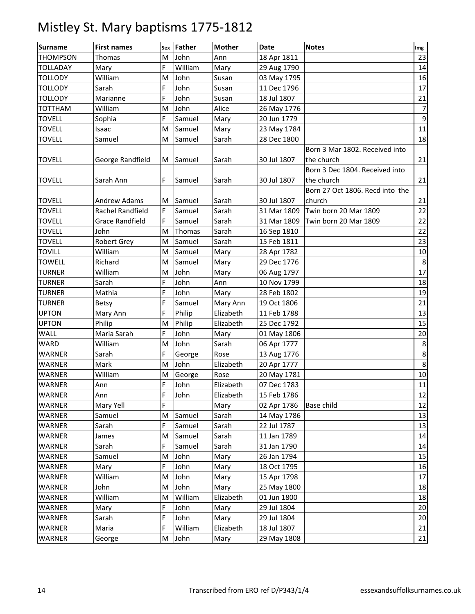| <b>Surname</b>  | <b>First names</b>     | Sex | Father  | <b>Mother</b> | <b>Date</b> | <b>Notes</b>                    | Img              |
|-----------------|------------------------|-----|---------|---------------|-------------|---------------------------------|------------------|
| <b>THOMPSON</b> | Thomas                 | M   | John    | Ann           | 18 Apr 1811 |                                 | 23               |
| <b>TOLLADAY</b> | Mary                   | F   | William | Mary          | 29 Aug 1790 |                                 | 14               |
| <b>TOLLODY</b>  | William                | M   | John    | Susan         | 03 May 1795 |                                 | 16               |
| <b>TOLLODY</b>  | Sarah                  | F   | John    | Susan         | 11 Dec 1796 |                                 | 17               |
| <b>TOLLODY</b>  | Marianne               | F   | John    | Susan         | 18 Jul 1807 |                                 | 21               |
| <b>TOTTHAM</b>  | William                | M   | John    | Alice         | 26 May 1776 |                                 | $\overline{7}$   |
| <b>TOVELL</b>   | Sophia                 | F   | Samuel  | Mary          | 20 Jun 1779 |                                 | $\boldsymbol{9}$ |
| <b>TOVELL</b>   | Isaac                  | M   | Samuel  | Mary          | 23 May 1784 |                                 | $\overline{11}$  |
| <b>TOVELL</b>   | Samuel                 | M   | Samuel  | Sarah         | 28 Dec 1800 |                                 | 18               |
|                 |                        |     |         |               |             | Born 3 Mar 1802. Received into  |                  |
| <b>TOVELL</b>   | George Randfield       | M   | Samuel  | Sarah         | 30 Jul 1807 | the church                      | 21               |
|                 |                        |     |         |               |             | Born 3 Dec 1804. Received into  |                  |
| <b>TOVELL</b>   | Sarah Ann              | F   | Samuel  | Sarah         | 30 Jul 1807 | the church                      | 21               |
|                 |                        |     |         |               |             | Born 27 Oct 1806. Recd into the |                  |
| <b>TOVELL</b>   | <b>Andrew Adams</b>    | M   | Samuel  | Sarah         | 30 Jul 1807 | church                          | 21               |
| <b>TOVELL</b>   | Rachel Randfield       | F   | Samuel  | Sarah         | 31 Mar 1809 | Twin born 20 Mar 1809           | 22               |
| <b>TOVELL</b>   | <b>Grace Randfield</b> | F   | Samuel  | Sarah         | 31 Mar 1809 | Twin born 20 Mar 1809           | 22               |
| <b>TOVELL</b>   | John                   | M   | Thomas  | Sarah         | 16 Sep 1810 |                                 | 22               |
| <b>TOVELL</b>   | <b>Robert Grey</b>     | M   | Samuel  | Sarah         | 15 Feb 1811 |                                 | 23               |
| <b>TOVILL</b>   | William                | M   | Samuel  | Mary          | 28 Apr 1782 |                                 | 10               |
| <b>TOWELL</b>   | Richard                | M   | Samuel  | Mary          | 29 Dec 1776 |                                 | $\,8\,$          |
| <b>TURNER</b>   | William                | M   | John    | Mary          | 06 Aug 1797 |                                 | 17               |
| <b>TURNER</b>   | Sarah                  | F   | John    | Ann           | 10 Nov 1799 |                                 | 18               |
| <b>TURNER</b>   | Mathia                 | F   | John    | Mary          | 28 Feb 1802 |                                 | 19               |
| <b>TURNER</b>   | Betsy                  | F   | Samuel  | Mary Ann      | 19 Oct 1806 |                                 | 21               |
| <b>UPTON</b>    | Mary Ann               | F   | Philip  | Elizabeth     | 11 Feb 1788 |                                 | 13               |
| <b>UPTON</b>    | Philip                 | M   | Philip  | Elizabeth     | 25 Dec 1792 |                                 | 15               |
| WALL            | Maria Sarah            | F   | John    | Mary          | 01 May 1806 |                                 | 20               |
| <b>WARD</b>     | William                | M   | John    | Sarah         | 06 Apr 1777 |                                 | 8                |
| <b>WARNER</b>   | Sarah                  | F   | George  | Rose          | 13 Aug 1776 |                                 | $\bf 8$          |
| WARNER          | Mark                   | M   | John    | Elizabeth     | 20 Apr 1777 |                                 | 8                |
| WARNER          | William                | M   | George  | Rose          | 20 May 1781 |                                 | $10\,$           |
| <b>WARNER</b>   | Ann                    | F   | John    | Elizabeth     | 07 Dec 1783 |                                 | 11               |
| WARNER          | Ann                    | F   | John    | Elizabeth     | 15 Feb 1786 |                                 | 12               |
| <b>WARNER</b>   | Mary Yell              | F   |         | Mary          | 02 Apr 1786 | <b>Base child</b>               | 12               |
| <b>WARNER</b>   | Samuel                 | M   | Samuel  | Sarah         | 14 May 1786 |                                 | 13               |
| WARNER          | Sarah                  | F   | Samuel  | Sarah         | 22 Jul 1787 |                                 | 13               |
| WARNER          | James                  | M   | Samuel  | Sarah         | 11 Jan 1789 |                                 | 14               |
| WARNER          | Sarah                  | F   | Samuel  | Sarah         | 31 Jan 1790 |                                 | 14               |
| <b>WARNER</b>   | Samuel                 | M   | John    | Mary          | 26 Jan 1794 |                                 | 15               |
| <b>WARNER</b>   | Mary                   | F   | John    | Mary          | 18 Oct 1795 |                                 | 16               |
| WARNER          | William                | M   | John    | Mary          | 15 Apr 1798 |                                 | 17               |
| WARNER          | John                   | M   | John    | Mary          | 25 May 1800 |                                 | 18               |
| WARNER          | William                | M   | William | Elizabeth     | 01 Jun 1800 |                                 | 18               |
| <b>WARNER</b>   | Mary                   | F   | John    | Mary          | 29 Jul 1804 |                                 | 20               |
| <b>WARNER</b>   | Sarah                  | F   | John    | Mary          | 29 Jul 1804 |                                 | 20               |
| WARNER          | Maria                  | F   | William | Elizabeth     | 18 Jul 1807 |                                 | 21               |
| <b>WARNER</b>   | George                 | M   | John    | Mary          | 29 May 1808 |                                 | $21\,$           |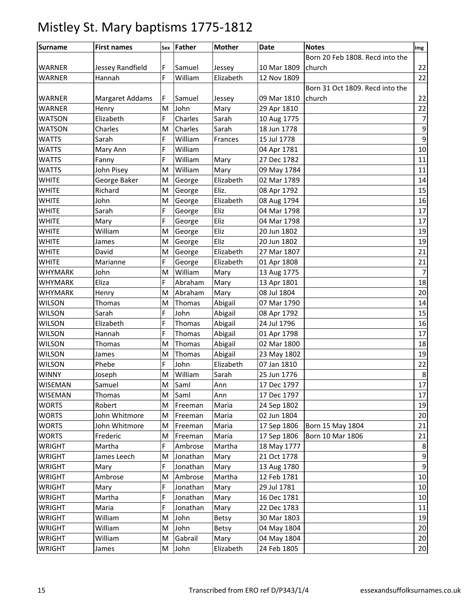| <b>Surname</b> | <b>First names</b> | Sex | Father   | <b>Mother</b> | Date        | <b>Notes</b>                    | Img             |
|----------------|--------------------|-----|----------|---------------|-------------|---------------------------------|-----------------|
|                |                    |     |          |               |             | Born 20 Feb 1808. Recd into the |                 |
| <b>WARNER</b>  | Jessey Randfield   | F   | Samuel   | Jessey        | 10 Mar 1809 | church                          | 22              |
| <b>WARNER</b>  | Hannah             | F   | William  | Elizabeth     | 12 Nov 1809 |                                 | 22              |
|                |                    |     |          |               |             | Born 31 Oct 1809. Recd into the |                 |
| WARNER         | Margaret Addams    | F   | Samuel   | Jessey        | 09 Mar 1810 | church                          | 22              |
| <b>WARNER</b>  | Henry              | M   | John     | Mary          | 29 Apr 1810 |                                 | 22              |
| <b>WATSON</b>  | Elizabeth          | F   | Charles  | Sarah         | 10 Aug 1775 |                                 | $\overline{7}$  |
| <b>WATSON</b>  | Charles            | M   | Charles  | Sarah         | 18 Jun 1778 |                                 | $9\,$           |
| <b>WATTS</b>   | Sarah              | F   | William  | Frances       | 15 Jul 1778 |                                 | 9               |
| <b>WATTS</b>   | Mary Ann           | F   | William  |               | 04 Apr 1781 |                                 | 10              |
| <b>WATTS</b>   | Fanny              | F   | William  | Mary          | 27 Dec 1782 |                                 | 11              |
| <b>WATTS</b>   | John Pisey         | M   | William  | Mary          | 09 May 1784 |                                 | 11              |
| <b>WHITE</b>   | George Baker       | M   | George   | Elizabeth     | 02 Mar 1789 |                                 | 14              |
| <b>WHITE</b>   | Richard            | M   | George   | Eliz.         | 08 Apr 1792 |                                 | 15              |
| <b>WHITE</b>   | John               | M   | George   | Elizabeth     | 08 Aug 1794 |                                 | 16              |
| <b>WHITE</b>   | Sarah              | F   | George   | Eliz          | 04 Mar 1798 |                                 | 17              |
| <b>WHITE</b>   | Mary               | F   | George   | Eliz          | 04 Mar 1798 |                                 | 17              |
| <b>WHITE</b>   | William            | M   | George   | Eliz          | 20 Jun 1802 |                                 | 19              |
| <b>WHITE</b>   | James              | M   | George   | Eliz          | 20 Jun 1802 |                                 | 19              |
| <b>WHITE</b>   | David              | M   | George   | Elizabeth     | 27 Mar 1807 |                                 | 21              |
| <b>WHITE</b>   | Marianne           | F   | George   | Elizabeth     | 01 Apr 1808 |                                 | 21              |
| <b>WHYMARK</b> | John               | M   | William  | Mary          | 13 Aug 1775 |                                 | $\overline{7}$  |
| <b>WHYMARK</b> | Eliza              | F   | Abraham  | Mary          | 13 Apr 1801 |                                 | 18              |
| <b>WHYMARK</b> | Henry              | M   | Abraham  | Mary          | 08 Jul 1804 |                                 | 20              |
| <b>WILSON</b>  | <b>Thomas</b>      | M   | Thomas   | Abigail       | 07 Mar 1790 |                                 | 14              |
| <b>WILSON</b>  | Sarah              | F   | John     | Abigail       | 08 Apr 1792 |                                 | 15              |
| <b>WILSON</b>  | Elizabeth          | F   | Thomas   | Abigail       | 24 Jul 1796 |                                 | 16              |
| <b>WILSON</b>  | Hannah             | F   | Thomas   | Abigail       | 01 Apr 1798 |                                 | 17              |
| <b>WILSON</b>  | Thomas             | M   | Thomas   | Abigail       | 02 Mar 1800 |                                 | 18              |
| <b>WILSON</b>  | James              | M   | Thomas   | Abigail       | 23 May 1802 |                                 | 19              |
| <b>WILSON</b>  | Phebe              | F   | John     | Elizabeth     | 07 Jan 1810 |                                 | 22              |
| <b>WINNY</b>   | Joseph             | Μ   | William  | Sarah         | 25 Jun 1776 |                                 | $\bf 8$         |
| <b>WISEMAN</b> | Samuel             | M   | Saml     | Ann           | 17 Dec 1797 |                                 | 17              |
| <b>WISEMAN</b> | Thomas             | M   | Saml     | Ann           | 17 Dec 1797 |                                 | 17              |
| <b>WORTS</b>   | Robert             | M   | Freeman  | Maria         | 24 Sep 1802 |                                 | 19              |
| <b>WORTS</b>   | John Whitmore      | M   | Freeman  | Maria         | 02 Jun 1804 |                                 | 20              |
| <b>WORTS</b>   | John Whitmore      | M   | Freeman  | Maria         | 17 Sep 1806 | Born 15 May 1804                | 21              |
| <b>WORTS</b>   | Frederic           | M   | Freeman  | Maria         | 17 Sep 1806 | Born 10 Mar 1806                | 21              |
| <b>WRIGHT</b>  | Martha             | F   | Ambrose  | Martha        | 18 May 1777 |                                 | 8               |
| WRIGHT         | James Leech        | M   | Jonathan | Mary          | 21 Oct 1778 |                                 | $9\,$           |
| <b>WRIGHT</b>  | Mary               | F   | Jonathan | Mary          | 13 Aug 1780 |                                 | $9\,$           |
| <b>WRIGHT</b>  | Ambrose            | Μ   | Ambrose  | Martha        | 12 Feb 1781 |                                 | $10\,$          |
| WRIGHT         | Mary               | F   | Jonathan | Mary          | 29 Jul 1781 |                                 | 10              |
| <b>WRIGHT</b>  | Martha             | F   | Jonathan | Mary          | 16 Dec 1781 |                                 | 10              |
| WRIGHT         | Maria              | F   | Jonathan | Mary          | 22 Dec 1783 |                                 | 11              |
| <b>WRIGHT</b>  | William            | M   | John     | Betsy         | 30 Mar 1803 |                                 | 19              |
| <b>WRIGHT</b>  | William            | M   | John     | <b>Betsy</b>  | 04 May 1804 |                                 | 20              |
| WRIGHT         | William            | M   | Gabrail  | Mary          | 04 May 1804 |                                 | 20              |
| <b>WRIGHT</b>  | James              | M   | John     | Elizabeth     | 24 Feb 1805 |                                 | 20 <sub>o</sub> |